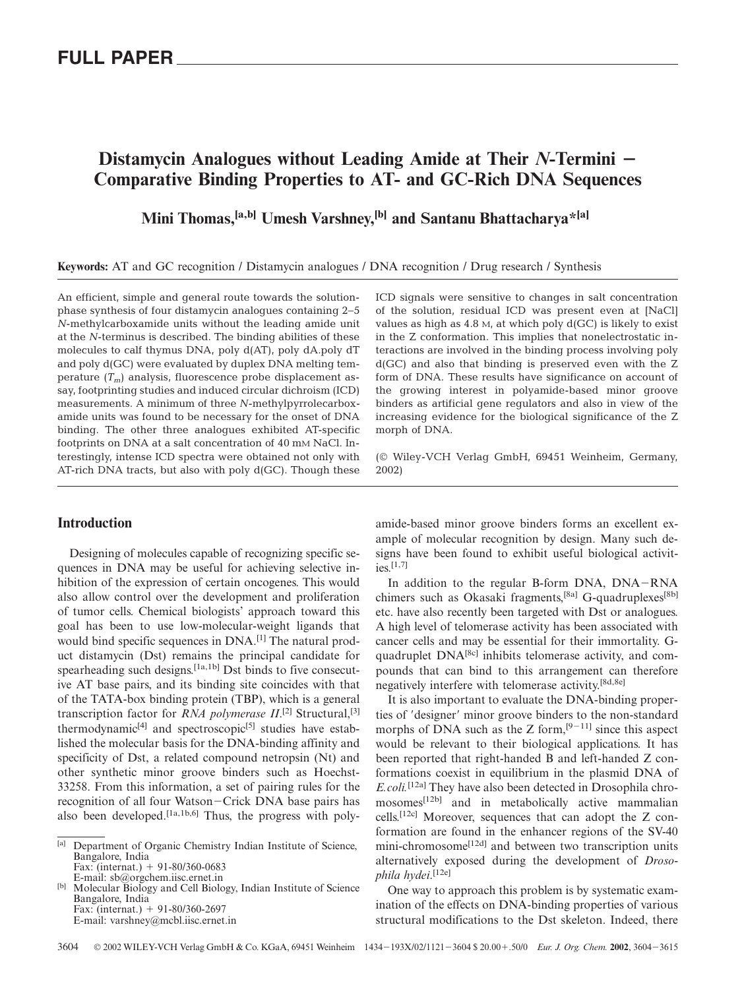# **Distamycin Analogues without Leading Amide at Their** *N***-Termini Comparative Binding Properties to AT- and GC-Rich DNA Sequences**

**Mini Thomas,[a,b] Umesh Varshney,[b] and Santanu Bhattacharya\*[a]**

**Keywords:** AT and GC recognition / Distamycin analogues / DNA recognition / Drug research / Synthesis

An efficient, simple and general route towards the solutionphase synthesis of four distamycin analogues containing 2−5 *N*-methylcarboxamide units without the leading amide unit at the *N*-terminus is described. The binding abilities of these molecules to calf thymus DNA, poly d(AT), poly dA.poly dT and poly d(GC) were evaluated by duplex DNA melting temperature (*Tm*) analysis, fluorescence probe displacement assay, footprinting studies and induced circular dichroism (ICD) measurements. A minimum of three *N*-methylpyrrolecarboxamide units was found to be necessary for the onset of DNA binding. The other three analogues exhibited AT-specific footprints on DNA at a salt concentration of 40 mM NaCl. Interestingly, intense ICD spectra were obtained not only with AT-rich DNA tracts, but also with poly d(GC). Though these

# **Introduction**

Designing of molecules capable of recognizing specific sequences in DNA may be useful for achieving selective inhibition of the expression of certain oncogenes. This would also allow control over the development and proliferation of tumor cells. Chemical biologists' approach toward this goal has been to use low-molecular-weight ligands that would bind specific sequences in DNA.<sup>[1]</sup> The natural product distamycin (Dst) remains the principal candidate for spearheading such designs.<sup>[1a,1b]</sup> Dst binds to five consecutive AT base pairs, and its binding site coincides with that of the TATA-box binding protein (TBP), which is a general transcription factor for *RNA polymerase II*.<sup>[2]</sup> Structural,<sup>[3]</sup> thermodynamic<sup>[4]</sup> and spectroscopic<sup>[5]</sup> studies have established the molecular basis for the DNA-binding affinity and specificity of Dst, a related compound netropsin (Nt) and other synthetic minor groove binders such as Hoechst-33258. From this information, a set of pairing rules for the recognition of all four Watson-Crick DNA base pairs has also been developed.<sup>[1a,1b,6]</sup> Thus, the progress with poly-

E-mail: sb@orgchem.iisc.ernet.in<br>
Molecular Biology and Cell Biology, Indian Institute of Science Bangalore, India Fax: (internat.)  $+ 91-80/360-2697$ E-mail: varshney@mcbl.iisc.ernet.in

ICD signals were sensitive to changes in salt concentration of the solution, residual ICD was present even at [NaCl] values as high as  $4.8$  M, at which poly  $d(GC)$  is likely to exist in the Z conformation. This implies that nonelectrostatic interactions are involved in the binding process involving poly d(GC) and also that binding is preserved even with the Z form of DNA. These results have significance on account of the growing interest in polyamide-based minor groove binders as artificial gene regulators and also in view of the increasing evidence for the biological significance of the Z morph of DNA.

(© Wiley-VCH Verlag GmbH, 69451 Weinheim, Germany, 2002)

amide-based minor groove binders forms an excellent example of molecular recognition by design. Many such designs have been found to exhibit useful biological activit $i$ es.<sup>[1,7]</sup>

In addition to the regular B-form DNA,  $DNA-RNA$ chimers such as Okasaki fragments,<sup>[8a]</sup> G-quadruplexes<sup>[8b]</sup> etc. have also recently been targeted with Dst or analogues. A high level of telomerase activity has been associated with cancer cells and may be essential for their immortality. Gquadruplet DNA<sup>[8c]</sup> inhibits telomerase activity, and compounds that can bind to this arrangement can therefore negatively interfere with telomerase activity.[8d,8e]

It is also important to evaluate the DNA-binding properties of 'designer' minor groove binders to the non-standard morphs of DNA such as the Z form,  $[9-11]$  since this aspect would be relevant to their biological applications. It has been reported that right-handed B and left-handed Z conformations coexist in equilibrium in the plasmid DNA of *E.coli.*[12a] They have also been detected in Drosophila chromosomes<sup>[12b]</sup> and in metabolically active mammalian cells.[12c] Moreover, sequences that can adopt the Z conformation are found in the enhancer regions of the SV-40 mini-chromosome<sup>[12d]</sup> and between two transcription units alternatively exposed during the development of *Drosophila hydei*. [12e]

One way to approach this problem is by systematic examination of the effects on DNA-binding properties of various structural modifications to the Dst skeleton. Indeed, there

<sup>[</sup>a] Department of Organic Chemistry Indian Institute of Science, Bangalore, India Fax: (internat.)  $+ 91-80/360-0683$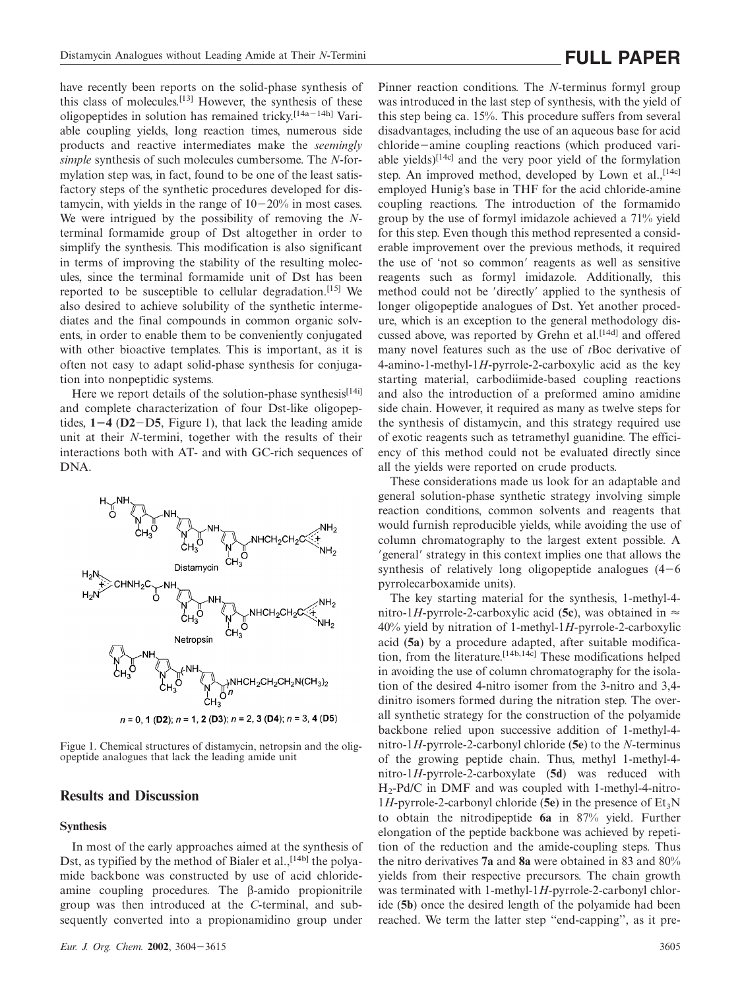have recently been reports on the solid-phase synthesis of this class of molecules.<sup>[13]</sup> However, the synthesis of these oligopeptides in solution has remained tricky.<sup>[14a-14h]</sup> Variable coupling yields, long reaction times, numerous side products and reactive intermediates make the *seemingly simple* synthesis of such molecules cumbersome. The *N*-formylation step was, in fact, found to be one of the least satisfactory steps of the synthetic procedures developed for distamycin, with yields in the range of  $10-20\%$  in most cases. We were intrigued by the possibility of removing the *N*terminal formamide group of Dst altogether in order to simplify the synthesis. This modification is also significant in terms of improving the stability of the resulting molecules, since the terminal formamide unit of Dst has been reported to be susceptible to cellular degradation.[15] We also desired to achieve solubility of the synthetic intermediates and the final compounds in common organic solvents, in order to enable them to be conveniently conjugated with other bioactive templates. This is important, as it is often not easy to adapt solid-phase synthesis for conjugation into nonpeptidic systems.

Here we report details of the solution-phase synthesis<sup>[14i]</sup> and complete characterization of four Dst-like oligopeptides,  $1-4$  ( $D2-D5$ , Figure 1), that lack the leading amide unit at their *N*-termini, together with the results of their interactions both with AT- and with GC-rich sequences of DNA.



Figue 1. Chemical structures of distamycin, netropsin and the oligopeptide analogues that lack the leading amide unit

# **Results and Discussion**

# **Synthesis**

In most of the early approaches aimed at the synthesis of Dst, as typified by the method of Bialer et al.,<sup>[14b]</sup> the polyamide backbone was constructed by use of acid chlorideamine coupling procedures. The β-amido propionitrile group was then introduced at the *C*-terminal, and subsequently converted into a propionamidino group under Pinner reaction conditions. The *N*-terminus formyl group was introduced in the last step of synthesis, with the yield of this step being ca. 15%. This procedure suffers from several disadvantages, including the use of an aqueous base for acid chloride-amine coupling reactions (which produced variable yields)[14c] and the very poor yield of the formylation step. An improved method, developed by Lown et al.,<sup>[14c]</sup> employed Hunig's base in THF for the acid chloride-amine coupling reactions. The introduction of the formamido group by the use of formyl imidazole achieved a 71% yield for this step. Even though this method represented a considerable improvement over the previous methods, it required the use of 'not so common' reagents as well as sensitive reagents such as formyl imidazole. Additionally, this method could not be 'directly' applied to the synthesis of longer oligopeptide analogues of Dst. Yet another procedure, which is an exception to the general methodology discussed above, was reported by Grehn et al.<sup>[14d]</sup> and offered many novel features such as the use of *t*Boc derivative of 4-amino-1-methyl-1*H*-pyrrole-2-carboxylic acid as the key starting material, carbodiimide-based coupling reactions and also the introduction of a preformed amino amidine side chain. However, it required as many as twelve steps for the synthesis of distamycin, and this strategy required use of exotic reagents such as tetramethyl guanidine. The efficiency of this method could not be evaluated directly since all the yields were reported on crude products.

These considerations made us look for an adaptable and general solution-phase synthetic strategy involving simple reaction conditions, common solvents and reagents that would furnish reproducible yields, while avoiding the use of column chromatography to the largest extent possible. A 'general' strategy in this context implies one that allows the synthesis of relatively long oligopeptide analogues  $(4-6$ pyrrolecarboxamide units).

The key starting material for the synthesis, 1-methyl-4 nitro-1*H*-pyrrole-2-carboxylic acid (5c), was obtained in  $\approx$ 40% yield by nitration of 1-methyl-1*H*-pyrrole-2-carboxylic acid (**5a**) by a procedure adapted, after suitable modification, from the literature.[14b,14c] These modifications helped in avoiding the use of column chromatography for the isolation of the desired 4-nitro isomer from the 3-nitro and 3,4 dinitro isomers formed during the nitration step. The overall synthetic strategy for the construction of the polyamide backbone relied upon successive addition of 1-methyl-4 nitro-1*H*-pyrrole-2-carbonyl chloride (**5e**) to the *N*-terminus of the growing peptide chain. Thus, methyl 1-methyl-4 nitro-1*H*-pyrrole-2-carboxylate (**5d**) was reduced with H2-Pd/C in DMF and was coupled with 1-methyl-4-nitro-1*H*-pyrrole-2-carbonyl chloride (5e) in the presence of  $Et_3N$ to obtain the nitrodipeptide **6a** in 87% yield. Further elongation of the peptide backbone was achieved by repetition of the reduction and the amide-coupling steps. Thus the nitro derivatives **7a** and **8a** were obtained in 83 and 80% yields from their respective precursors. The chain growth was terminated with 1-methyl-1*H*-pyrrole-2-carbonyl chloride (**5b**) once the desired length of the polyamide had been reached. We term the latter step ''end-capping'', as it pre-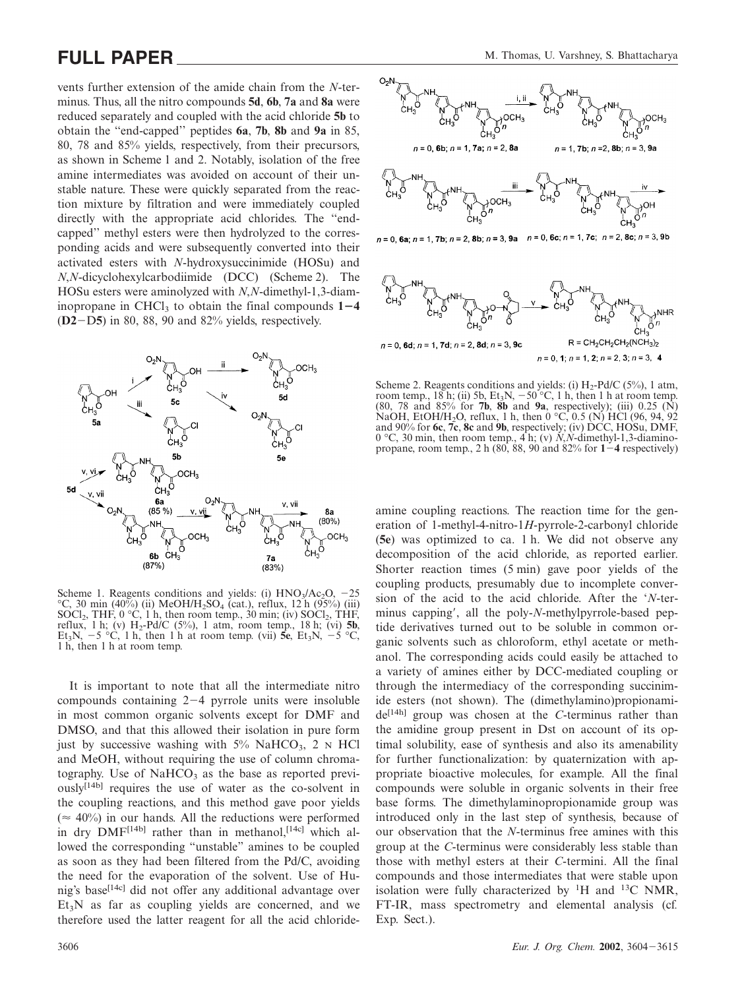vents further extension of the amide chain from the *N*-terminus. Thus, all the nitro compounds **5d**, **6b**, **7a** and **8a** were reduced separately and coupled with the acid chloride **5b** to obtain the ''end-capped'' peptides **6a**, **7b**, **8b** and **9a** in 85, 80, 78 and 85% yields, respectively, from their precursors, as shown in Scheme 1 and 2. Notably, isolation of the free amine intermediates was avoided on account of their unstable nature. These were quickly separated from the reaction mixture by filtration and were immediately coupled directly with the appropriate acid chlorides. The ''endcapped'' methyl esters were then hydrolyzed to the corresponding acids and were subsequently converted into their activated esters with *N*-hydroxysuccinimide (HOSu) and *N*,*N*-dicyclohexylcarbodiimide (DCC) (Scheme 2). The HOSu esters were aminolyzed with *N*,*N*-dimethyl-1,3-diaminopropane in CHCl<sub>3</sub> to obtain the final compounds  $1-4$ (D2-D5) in 80, 88, 90 and 82% yields, respectively.



Scheme 1. Reagents conditions and yields: (i)  $HNO<sub>3</sub>/Ac<sub>2</sub>O$ , -25  $^{\circ}$ C, 30 min (40%) (ii) MeOH/H<sub>2</sub>SO<sub>4</sub> (cat.), reflux, 12 h (95%) (iii)  $S OCl<sub>2</sub>$ , THF, 0 °C, 1 h, then room temp., 30 min; (iv)  $S OCl<sub>2</sub>$ , THF, reflux, 1 h; (v) H<sub>2</sub>-Pd/C (5%), 1 atm, room temp., 18 h; (vi) **5b**, Et<sub>3</sub>N,  $-5^{\circ}$ C, 1 h, then 1 h at room temp. (vii) **5e**, Et<sub>3</sub>N,  $-5^{\circ}$ C, 1 h, then 1 h at room temp.

It is important to note that all the intermediate nitro compounds containing  $2-4$  pyrrole units were insoluble in most common organic solvents except for DMF and DMSO, and that this allowed their isolation in pure form just by successive washing with  $5\%$  NaHCO<sub>3</sub>, 2 N HCl and MeOH, without requiring the use of column chromatography. Use of  $NaHCO<sub>3</sub>$  as the base as reported previ- $\text{ouslv}^{[14b]}$  requires the use of water as the co-solvent in the coupling reactions, and this method gave poor yields ( $\approx$  40%) in our hands. All the reductions were performed in dry  $DMF^{[14b]}$  rather than in methanol,<sup>[14c]</sup> which allowed the corresponding "unstable" amines to be coupled as soon as they had been filtered from the Pd/C, avoiding the need for the evaporation of the solvent. Use of Hunig's base[14c] did not offer any additional advantage over  $Et<sub>3</sub>N$  as far as coupling yields are concerned, and we therefore used the latter reagent for all the acid chloride-





Scheme 2. Reagents conditions and yields: (i)  $H_2$ -Pd/C (5%), 1 atm, room temp., 18 h; (ii) 5b,  $Et_3N$ ,  $-50$  °C, 1 h, then 1 h at room temp. (80, 78 and 85% for **7b**, **8b** and **9a**, respectively); (iii) 0.25 (N) NaOH, EtOH/H2O, reflux, 1 h, then 0 °C, 0.5 (N) HCl (96, 94, 92 and 90% for **6c**, **7c**, **8c** and **9b**, respectively; (iv) DCC, HOSu, DMF, 0 °C, 30 min, then room temp., 4 h; (v)  $\dot{N}$ , $\dot{N}$ -dimethyl-1,3-diaminopropane, room temp., 2 h  $(80, 88, 90)$  and  $82\%$  for  $1-4$  respectively)

amine coupling reactions. The reaction time for the generation of 1-methyl-4-nitro-1*H*-pyrrole-2-carbonyl chloride (**5e**) was optimized to ca. 1 h. We did not observe any decomposition of the acid chloride, as reported earlier. Shorter reaction times (5 min) gave poor yields of the coupling products, presumably due to incomplete conversion of the acid to the acid chloride. After the '*N*-terminus capping, all the poly-*N*-methylpyrrole-based peptide derivatives turned out to be soluble in common organic solvents such as chloroform, ethyl acetate or methanol. The corresponding acids could easily be attached to a variety of amines either by DCC-mediated coupling or through the intermediacy of the corresponding succinimide esters (not shown). The (dimethylamino)propionamide<sup>[14h]</sup> group was chosen at the *C*-terminus rather than the amidine group present in Dst on account of its optimal solubility, ease of synthesis and also its amenability for further functionalization: by quaternization with appropriate bioactive molecules, for example. All the final compounds were soluble in organic solvents in their free base forms. The dimethylaminopropionamide group was introduced only in the last step of synthesis, because of our observation that the *N*-terminus free amines with this group at the *C*-terminus were considerably less stable than those with methyl esters at their *C*-termini. All the final compounds and those intermediates that were stable upon isolation were fully characterized by  ${}^{1}H$  and  ${}^{13}C$  NMR, FT-IR, mass spectrometry and elemental analysis (cf*.* Exp. Sect.).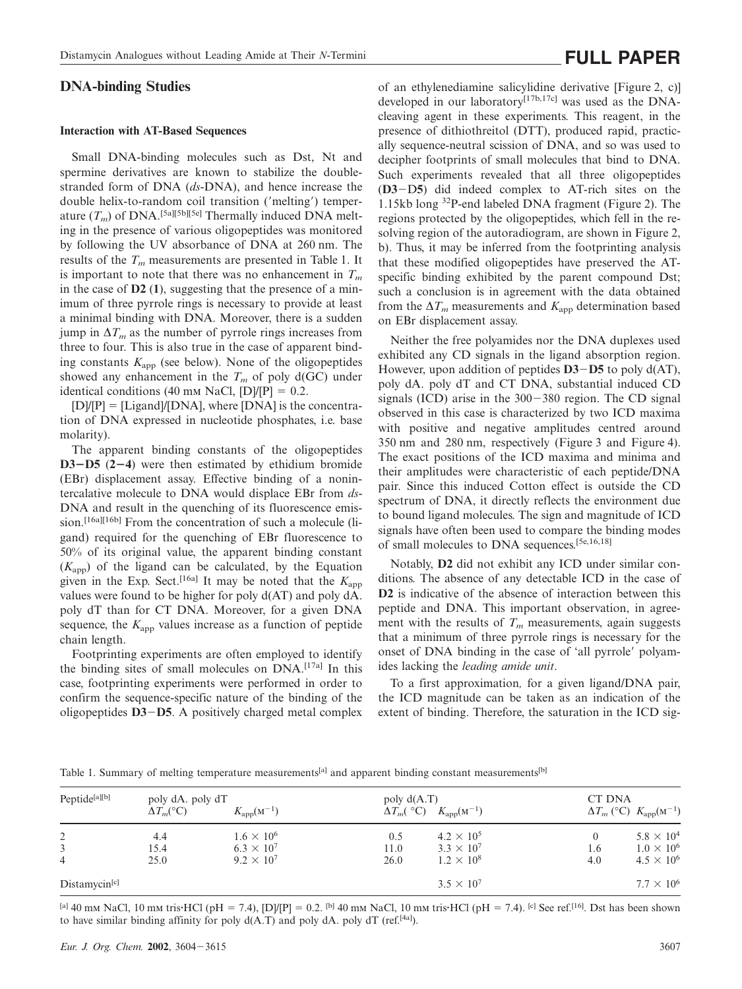# **DNA-binding Studies**

### **Interaction with AT-Based Sequences**

Small DNA-binding molecules such as Dst, Nt and spermine derivatives are known to stabilize the doublestranded form of DNA (*ds*-DNA), and hence increase the double helix-to-random coil transition ('melting') temperature  $(T_m)$  of DNA.<sup>[5a][5b][5e]</sup> Thermally induced DNA melting in the presence of various oligopeptides was monitored by following the UV absorbance of DNA at 260 nm. The results of the  $T_m$  measurements are presented in Table 1. It is important to note that there was no enhancement in  $T_m$ in the case of **D2** (**1**), suggesting that the presence of a minimum of three pyrrole rings is necessary to provide at least a minimal binding with DNA. Moreover, there is a sudden jump in  $\Delta T_m$  as the number of pyrrole rings increases from three to four. This is also true in the case of apparent binding constants  $K_{\text{app}}$  (see below). None of the oligopeptides showed any enhancement in the  $T_m$  of poly  $d(GC)$  under identical conditions (40 mm NaCl,  $[D]/[P] = 0.2$ .

 $[D]/[P] = [Ligand]/[DNA]$ , where  $[DNA]$  is the concentration of DNA expressed in nucleotide phosphates, i.e. base molarity).

The apparent binding constants of the oligopeptides **D3D5** (**24**) were then estimated by ethidium bromide (EBr) displacement assay. Effective binding of a nonintercalative molecule to DNA would displace EBr from *ds*-DNA and result in the quenching of its fluorescence emission.<sup>[16a][16b]</sup> From the concentration of such a molecule (ligand) required for the quenching of EBr fluorescence to 50% of its original value, the apparent binding constant  $(K_{\text{app}})$  of the ligand can be calculated, by the Equation given in the Exp. Sect.<sup>[16a]</sup> It may be noted that the  $K_{\text{app}}$ values were found to be higher for poly  $dAT$ ) and poly  $dA$ . poly dT than for CT DNA. Moreover, for a given DNA sequence, the  $K_{\text{app}}$  values increase as a function of peptide chain length.

Footprinting experiments are often employed to identify the binding sites of small molecules on DNA.[17a] In this case, footprinting experiments were performed in order to confirm the sequence-specific nature of the binding of the oligopeptides **D3D5**. A positively charged metal complex of an ethylenediamine salicylidine derivative [Figure 2, c)] developed in our laboratory<sup>[17b,17c]</sup> was used as the DNAcleaving agent in these experiments. This reagent, in the presence of dithiothreitol (DTT), produced rapid, practically sequence-neutral scission of DNA, and so was used to decipher footprints of small molecules that bind to DNA. Such experiments revealed that all three oligopeptides (D3-D5) did indeed complex to AT-rich sites on the 1.15kb long 32P-end labeled DNA fragment (Figure 2). The regions protected by the oligopeptides, which fell in the resolving region of the autoradiogram, are shown in Figure 2, b). Thus, it may be inferred from the footprinting analysis that these modified oligopeptides have preserved the ATspecific binding exhibited by the parent compound Dst; such a conclusion is in agreement with the data obtained from the  $\Delta T_m$  measurements and  $K_{\text{app}}$  determination based on EBr displacement assay.

Neither the free polyamides nor the DNA duplexes used exhibited any CD signals in the ligand absorption region. However, upon addition of peptides **D3–D5** to poly d(AT), poly dA. poly dT and CT DNA, substantial induced CD signals (ICD) arise in the  $300-380$  region. The CD signal observed in this case is characterized by two ICD maxima with positive and negative amplitudes centred around 350 nm and 280 nm, respectively (Figure 3 and Figure 4). The exact positions of the ICD maxima and minima and their amplitudes were characteristic of each peptide/DNA pair. Since this induced Cotton effect is outside the CD spectrum of DNA, it directly reflects the environment due to bound ligand molecules. The sign and magnitude of ICD signals have often been used to compare the binding modes of small molecules to DNA sequences.[5e,16,18]

Notably, **D2** did not exhibit any ICD under similar conditions. The absence of any detectable ICD in the case of **D2** is indicative of the absence of interaction between this peptide and DNA. This important observation, in agreement with the results of  $T_m$  measurements, again suggests that a minimum of three pyrrole rings is necessary for the onset of DNA binding in the case of 'all pyrrole' polyamides lacking the *leading amide unit*.

To a first approximation*,* for a given ligand/DNA pair, the ICD magnitude can be taken as an indication of the extent of binding. Therefore, the saturation in the ICD sig-

Table 1. Summary of melting temperature measurements<sup>[a]</sup> and apparent binding constant measurements<sup>[b]</sup>

| Peptide <sup>[a][b]</sup> | poly dA, poly dT<br>$\Delta T_m({}^{\circ}C)$ | $K_{\rm app}(\text{M}^{-1})$ | poly $d(A.T)$<br>$\Delta T_m$ (°C) | $K_{\rm app}(\text{M}^{-1})$ | <b>CT DNA</b> | $\Delta T_m$ (°C) $K_{\rm app}(\text{M}^{-1})$ |
|---------------------------|-----------------------------------------------|------------------------------|------------------------------------|------------------------------|---------------|------------------------------------------------|
| 2                         | 4.4                                           | $1.6 \times 10^6$            | 0.5                                | $4.2 \times 10^{5}$          |               | $5.8 \times 10^{4}$                            |
|                           | 15.4                                          | $6.3 \times 10^{7}$          | 11.0                               | $3.3 \times 10^{7}$          | 1.6           | $1.0 \times 10^6$                              |
| 4                         | 25.0                                          | $9.2 \times 10^{7}$          | 26.0                               | $1.2 \times 10^8$            | 4.0           | $4.5 \times 10^{6}$                            |
| Distamycin <sup>[c]</sup> |                                               |                              |                                    | $3.5 \times 10^{7}$          |               | $7.7 \times 10^6$                              |

[a] 40 mm NaCl, 10 mm tris•**HCl** (pH = 7.4), [D]/[P] = 0.2. <sup>[b]</sup> 40 mm NaCl, 10 mm tris•**HCl** (pH = 7.4). [c] See ref.<sup>[16]</sup>. Dst has been shown to have similar binding affinity for poly  $d(A,T)$  and poly dA. poly dT (ref.<sup>[4a]</sup>).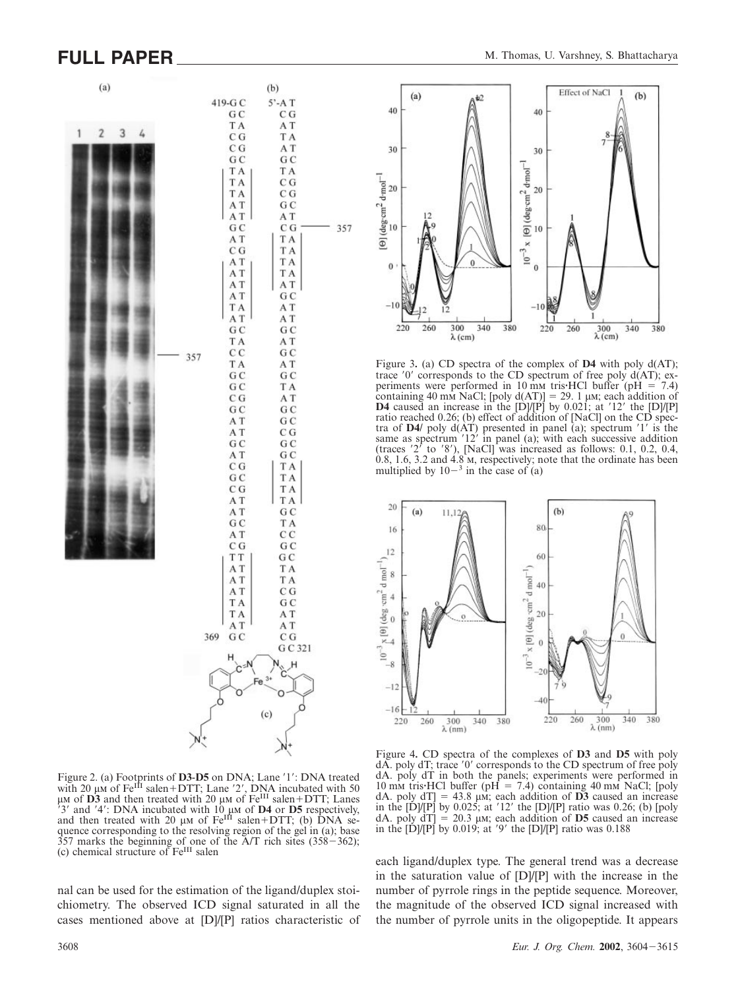

Figure 2. (a) Footprints of **D3-D5** on DNA; Lane '1': DNA treated with 20 μm of Fe<sup>III</sup> salen+DTT; Lane '2', DNA incubated with 50 μm of **D3** and then treated with 20 μm of Fe<sup>III</sup> salen+DTT; Lanes  $3'$  and '4': DNA incubated with 10  $\mu$ m of **D4** or **D5** respectively, and then treated with 20  $\mu$ m of Fe<sup>III</sup> salen+DTT; (b) DNA sequence corresponding to the resolving region of the gel in (a); base  $357$  marks the beginning of one of the  $\overline{A/T}$  rich sites (358–362); (c) chemical structure of Fe<sup>III</sup> salen

nal can be used for the estimation of the ligand/duplex stoichiometry. The observed ICD signal saturated in all the cases mentioned above at [D]/[P] ratios characteristic of



357

Figure 3**.** (a) CD spectra of the complex of **D4** with poly d(AT); trace  $\alpha$  corresponds to the CD spectrum of free poly  $d(AT)$ ; experiments were performed in 10 mm tris HCl buffer ( $pH = 7.4$ ) containing 40 mm NaCl; [poly  $d(AT)$ ] = 29. 1  $\mu$ m; each addition of **D4** caused an increase in the  $[D]/[P]$  by 0.021; at '12' the  $[D]/[P]$ ratio reached 0.26; (b) effect of addition of [NaCl] on the CD spectra of  $D4$ / poly  $d(AT)$  presented in panel (a); spectrum  $1'$  is the same as spectrum '12' in panel (a); with each successive addition (traces  $2^{\tau}$  to  $8^{\prime}$ ), [NaCl] was increased as follows: 0.1, 0.2, 0.4,  $0.8, 1.6, 3.2$  and  $4.8$  M, respectively; note that the ordinate has been multiplied by  $10^{-3}$  in the case of (a)



Figure 4**.** CD spectra of the complexes of **D3** and **D5** with poly  $dA$ . poly  $dT$ ; trace '0' corresponds to the CD spectrum of free poly dA. poly dT in both the panels; experiments were performed in 10 mm tris•HCl buffer ( $pH = 7.4$ ) containing 40 mm NaCl; [poly dA. poly  $dT$  = 43.8  $\mu$ *M*; each addition of **D3** caused an increase in the  $[D]/[P]$  by 0.025; at '12' the  $[D]/[P]$  ratio was 0.26; (b) [poly dA. poly  $dT$  = 20.3  $\mu$ m; each addition of **D5** caused an increase in the  $[D]/[P]$  by 0.019; at '9' the  $[D]/[P]$  ratio was 0.188

each ligand/duplex type. The general trend was a decrease in the saturation value of [D]/[P] with the increase in the number of pyrrole rings in the peptide sequence. Moreover, the magnitude of the observed ICD signal increased with the number of pyrrole units in the oligopeptide. It appears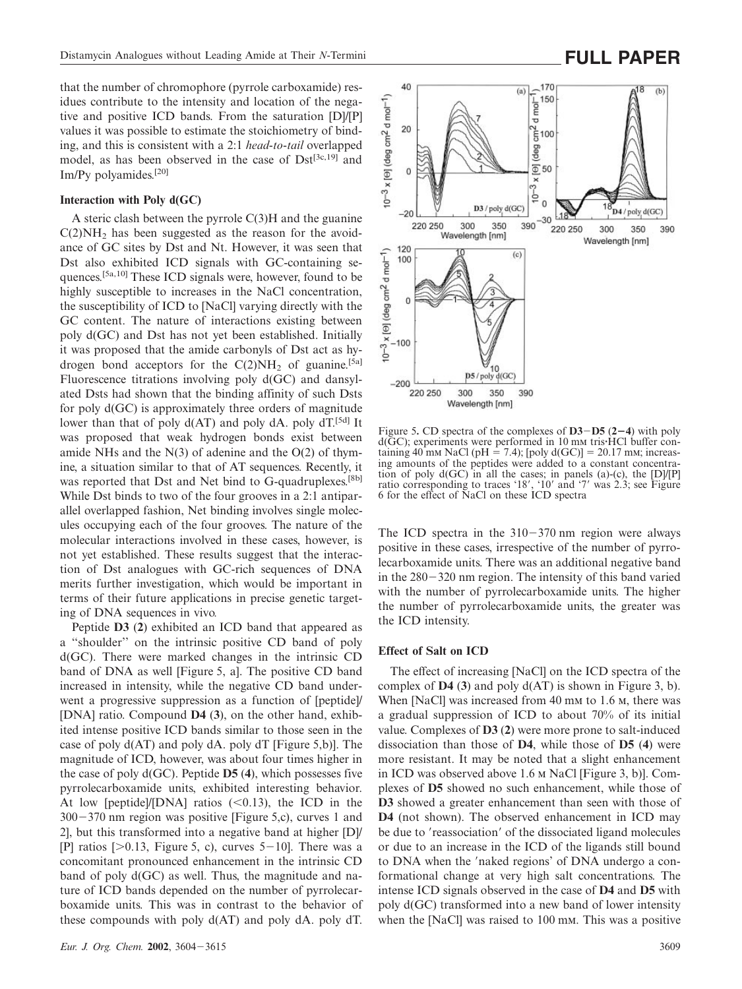that the number of chromophore (pyrrole carboxamide) residues contribute to the intensity and location of the negative and positive ICD bands. From the saturation [D]/[P] values it was possible to estimate the stoichiometry of binding, and this is consistent with a 2:1 *head*-*to*-*tail* overlapped model, as has been observed in the case of Dst<sup>[3c,19]</sup> and Im/Py polyamides.[20]

### **Interaction with Poly d(GC)**

A steric clash between the pyrrole C(3)H and the guanine  $C(2)NH<sub>2</sub>$  has been suggested as the reason for the avoidance of GC sites by Dst and Nt. However, it was seen that Dst also exhibited ICD signals with GC-containing sequences.[5a,10] These ICD signals were, however, found to be highly susceptible to increases in the NaCl concentration, the susceptibility of ICD to [NaCl] varying directly with the GC content. The nature of interactions existing between poly d(GC) and Dst has not yet been established. Initially it was proposed that the amide carbonyls of Dst act as hydrogen bond acceptors for the  $C(2)NH<sub>2</sub>$  of guanine.<sup>[5a]</sup> Fluorescence titrations involving poly d(GC) and dansylated Dsts had shown that the binding affinity of such Dsts for poly d(GC) is approximately three orders of magnitude lower than that of poly  $d(AT)$  and poly dA, poly  $dT<sub>[5d]</sub>$  It was proposed that weak hydrogen bonds exist between amide NHs and the  $N(3)$  of adenine and the  $O(2)$  of thymine, a situation similar to that of AT sequences. Recently, it was reported that Dst and Net bind to G-quadruplexes.<sup>[8b]</sup> While Dst binds to two of the four grooves in a 2:1 antiparallel overlapped fashion, Net binding involves single molecules occupying each of the four grooves. The nature of the molecular interactions involved in these cases, however, is not yet established. These results suggest that the interaction of Dst analogues with GC-rich sequences of DNA merits further investigation, which would be important in terms of their future applications in precise genetic targeting of DNA sequences in vivo*.*

Peptide **D3** (**2**) exhibited an ICD band that appeared as a ''shoulder'' on the intrinsic positive CD band of poly d(GC). There were marked changes in the intrinsic CD band of DNA as well [Figure 5, a]. The positive CD band increased in intensity, while the negative CD band underwent a progressive suppression as a function of [peptide]/ [DNA] ratio. Compound **D4** (**3**), on the other hand, exhibited intense positive ICD bands similar to those seen in the case of poly  $d(AT)$  and poly  $dA$ , poly  $dT$  [Figure 5,b)]. The magnitude of ICD, however, was about four times higher in the case of poly d(GC). Peptide **D5** (**4**), which possesses five pyrrolecarboxamide units, exhibited interesting behavior. At low [peptide]/[DNA] ratios  $( $0.13$ ), the ICD in the$  $300-370$  nm region was positive [Figure 5,c), curves 1 and 2], but this transformed into a negative band at higher [D]/ [P] ratios [ $>0.13$ , Figure 5, c), curves 5-10]. There was a concomitant pronounced enhancement in the intrinsic CD band of poly d(GC) as well. Thus, the magnitude and nature of ICD bands depended on the number of pyrrolecarboxamide units. This was in contrast to the behavior of these compounds with poly d(AT) and poly dA. poly dT.



Figure 5**.** CD spectra of the complexes of **D3D5** (**24**) with poly d(GC); experiments were performed in 10 mm tris·HCl buffer containing 40 mm NaCl (pH = 7.4); [poly  $d(GC)$ ] = 20.17 mm; increasing amounts of the peptides were added to a constant concentration of poly  $d(GC)$  in all the cases; in panels (a)-(c), the  $[D]/[P]$ ratio corresponding to traces '18', '10' and '7' was 2.3; see Figure 6 for the effect of NaCl on these ICD spectra

The ICD spectra in the  $310-370$  nm region were always positive in these cases, irrespective of the number of pyrrolecarboxamide units. There was an additional negative band in the  $280-320$  nm region. The intensity of this band varied with the number of pyrrolecarboxamide units. The higher the number of pyrrolecarboxamide units, the greater was the ICD intensity.

# **Effect of Salt on ICD**

The effect of increasing [NaCl] on the ICD spectra of the complex of **D4** (**3**) and poly d(AT) is shown in Figure 3, b). When [NaCl] was increased from  $40 \text{ mm}$  to  $1.6 \text{ m}$ , there was a gradual suppression of ICD to about 70% of its initial value. Complexes of **D3** (**2**) were more prone to salt-induced dissociation than those of **D4**, while those of **D5** (**4**) were more resistant. It may be noted that a slight enhancement in ICD was observed above 1.6 NaCl [Figure 3, b)]. Complexes of **D5** showed no such enhancement, while those of **D3** showed a greater enhancement than seen with those of **D4** (not shown). The observed enhancement in ICD may be due to 'reassociation' of the dissociated ligand molecules or due to an increase in the ICD of the ligands still bound to DNA when the 'naked regions' of DNA undergo a conformational change at very high salt concentrations. The intense ICD signals observed in the case of **D4** and **D5** with poly d(GC) transformed into a new band of lower intensity when the [NaCl] was raised to  $100 \text{ mm}$ . This was a positive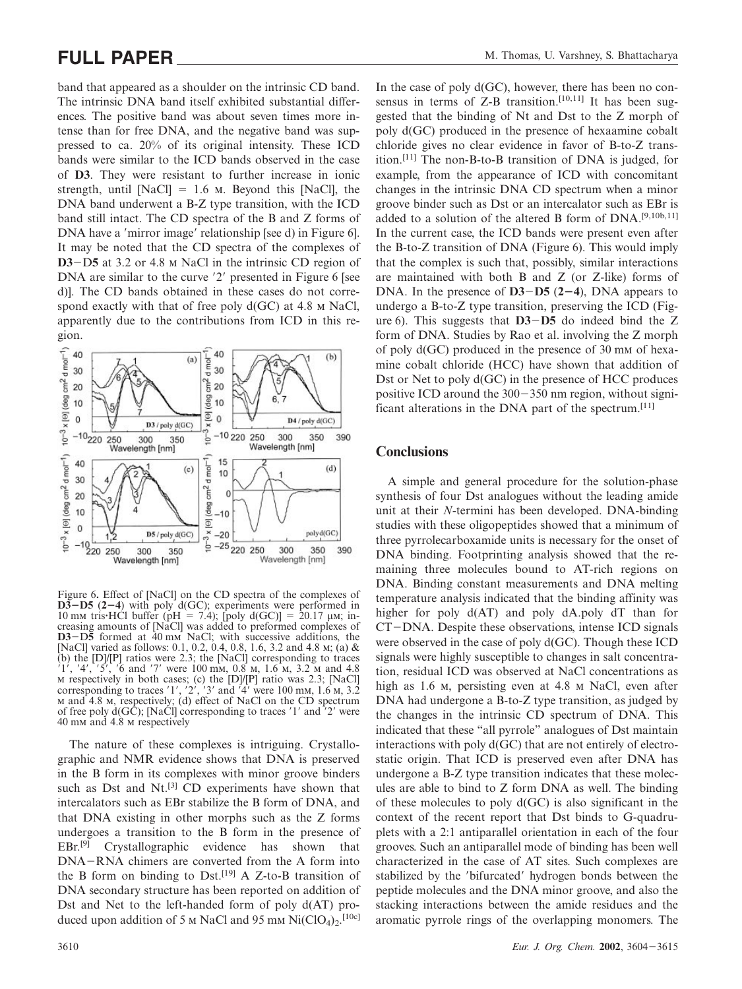band that appeared as a shoulder on the intrinsic CD band. The intrinsic DNA band itself exhibited substantial differences. The positive band was about seven times more intense than for free DNA, and the negative band was suppressed to ca. 20% of its original intensity. These ICD bands were similar to the ICD bands observed in the case of **D3**. They were resistant to further increase in ionic strength, until  $[NaCl] = 1.6$  M. Beyond this [NaCl], the DNA band underwent a B-Z type transition, with the ICD band still intact. The CD spectra of the B and Z forms of DNA have a 'mirror image' relationship [see d) in Figure 6. It may be noted that the CD spectra of the complexes of D3-D5 at 3.2 or 4.8  $\mu$  NaCl in the intrinsic CD region of DNA are similar to the curve  $2'$  presented in Figure 6 [see d)]. The CD bands obtained in these cases do not correspond exactly with that of free poly  $d(GC)$  at 4.8  $M$  NaCl, apparently due to the contributions from ICD in this region.



Figure 6**.** Effect of [NaCl] on the CD spectra of the complexes of **D3D5** (**24**) with poly d(GC); experiments were performed in 10 mm tris•HCl buffer (pH = 7.4); [poly  $d(GC)$ ] = 20.17  $\mu$ m; increasing amounts of [NaCl] was added to preformed complexes of D3-D5<sup>5</sup> formed at 40 mm NaCl; with successive additions, the [NaCl] varied as follows: 0.1, 0.2, 0.4, 0.8, 1.6, 3.2 and 4.8  $\mu$ ; (a) & (b) the [D]/[P] ratios were 2.3; the [NaCl] corresponding to traces  $11', 4', 5', 6$  and  $7'$  were 100 mm, 0.8 m, 1.6 m, 3.2 m and 4.8 M respectively in both cases; (c) the [D]/[P] ratio was 2.3; [NaCl] corresponding to traces  $1', 2', 3'$  and  $4'$  were 100 mm, 1.6 m, 3.2 M and 4.8 M, respectively; (d) effect of NaCl on the CD spectrum of free poly  $d(G\hat{C})$ ; [NaCl] corresponding to traces '1' and '2' were 40 mm and 4.8 <sub>M</sub> respectively

The nature of these complexes is intriguing. Crystallographic and NMR evidence shows that DNA is preserved in the B form in its complexes with minor groove binders such as Dst and  $Nt$ <sup>[3]</sup> CD experiments have shown that intercalators such as EBr stabilize the B form of DNA, and that DNA existing in other morphs such as the Z forms undergoes a transition to the B form in the presence of EBr.[9] Crystallographic evidence has shown that DNA-RNA chimers are converted from the A form into the B form on binding to Dst.<sup>[19]</sup> A Z-to-B transition of DNA secondary structure has been reported on addition of Dst and Net to the left-handed form of poly d(AT) produced upon addition of 5  $\text{M}$  NaCl and 95 mM Ni(ClO<sub>4</sub>)<sub>2</sub>.<sup>[10c]</sup>

In the case of poly d(GC), however, there has been no consensus in terms of  $Z-B$  transition.<sup>[10,11]</sup> It has been suggested that the binding of Nt and Dst to the Z morph of poly d(GC) produced in the presence of hexaamine cobalt chloride gives no clear evidence in favor of B-to-Z transition.[11] The non-B-to-B transition of DNA is judged, for example, from the appearance of ICD with concomitant changes in the intrinsic DNA CD spectrum when a minor groove binder such as Dst or an intercalator such as EBr is added to a solution of the altered B form of DNA.[9,10b,11] In the current case, the ICD bands were present even after the B-to-Z transition of DNA (Figure 6). This would imply that the complex is such that, possibly, similar interactions are maintained with both B and Z (or Z-like) forms of DNA. In the presence of **D3D5** (**24**), DNA appears to undergo a B-to-Z type transition, preserving the ICD (Figure 6). This suggests that **D3D5** do indeed bind the Z form of DNA. Studies by Rao et al. involving the Z morph of poly  $d(GC)$  produced in the presence of 30 mm of hexamine cobalt chloride (HCC) have shown that addition of Dst or Net to poly d(GC) in the presence of HCC produces positive ICD around the  $300-350$  nm region, without significant alterations in the DNA part of the spectrum.[11]

# **Conclusions**

A simple and general procedure for the solution-phase synthesis of four Dst analogues without the leading amide unit at their *N*-termini has been developed. DNA-binding studies with these oligopeptides showed that a minimum of three pyrrolecarboxamide units is necessary for the onset of DNA binding. Footprinting analysis showed that the remaining three molecules bound to AT-rich regions on DNA. Binding constant measurements and DNA melting temperature analysis indicated that the binding affinity was higher for poly  $d(AT)$  and poly dA, poly dT than for  $CT-DNA$ . Despite these observations, intense ICD signals were observed in the case of poly d(GC). Though these ICD signals were highly susceptible to changes in salt concentration, residual ICD was observed at NaCl concentrations as high as 1.6 <sub>M</sub>, persisting even at 4.8 <sub>M</sub> NaCl, even after DNA had undergone a B-to-Z type transition, as judged by the changes in the intrinsic CD spectrum of DNA. This indicated that these "all pyrrole" analogues of Dst maintain interactions with poly d(GC) that are not entirely of electrostatic origin. That ICD is preserved even after DNA has undergone a B-Z type transition indicates that these molecules are able to bind to Z form DNA as well. The binding of these molecules to poly  $d(GC)$  is also significant in the context of the recent report that Dst binds to G-quadruplets with a 2:1 antiparallel orientation in each of the four grooves. Such an antiparallel mode of binding has been well characterized in the case of AT sites. Such complexes are stabilized by the 'bifurcated' hydrogen bonds between the peptide molecules and the DNA minor groove, and also the stacking interactions between the amide residues and the aromatic pyrrole rings of the overlapping monomers. The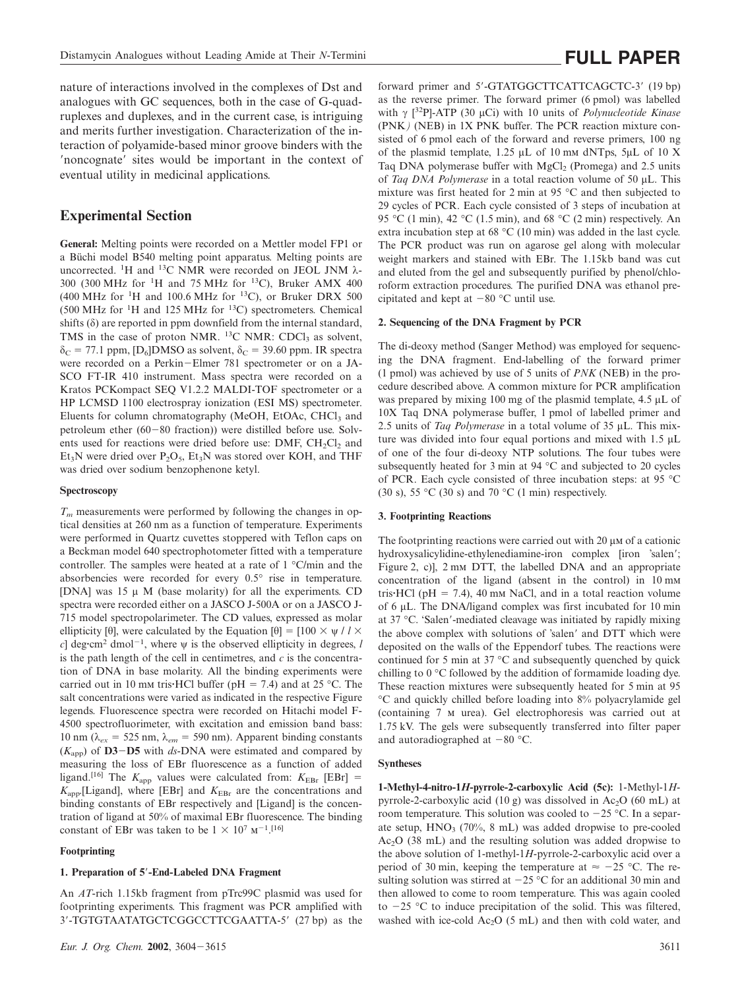nature of interactions involved in the complexes of Dst and analogues with GC sequences, both in the case of G-quadruplexes and duplexes, and in the current case, is intriguing and merits further investigation. Characterization of the interaction of polyamide-based minor groove binders with the 'noncognate' sites would be important in the context of eventual utility in medicinal applications.

# **Experimental Section**

**General:** Melting points were recorded on a Mettler model FP1 or a Büchi model B540 melting point apparatus. Melting points are uncorrected. <sup>1</sup>H and <sup>13</sup>C NMR were recorded on JEOL JNM  $\lambda$ -300 (300 MHz for <sup>1</sup> H and 75 MHz for 13C), Bruker AMX 400  $(400 \text{ MHz}$  for <sup>1</sup>H and 100.6 MHz for <sup>13</sup>C), or Bruker DRX 500  $(500 \text{ MHz}$  for <sup>1</sup>H and 125 MHz for <sup>13</sup>C) spectrometers. Chemical shifts (δ) are reported in ppm downfield from the internal standard, TMS in the case of proton NMR.  $^{13}$ C NMR: CDCl<sub>3</sub> as solvent,  $\delta_C$  = 77.1 ppm, [D<sub>6</sub>]DMSO as solvent,  $\delta_C$  = 39.60 ppm. IR spectra were recorded on a Perkin-Elmer 781 spectrometer or on a JA-SCO FT-IR 410 instrument. Mass spectra were recorded on a Kratos PCKompact SEQ V1.2.2 MALDI-TOF spectrometer or a HP LCMSD 1100 electrospray ionization (ESI MS) spectrometer. Eluents for column chromatography (MeOH, EtOAc, CHCl<sub>3</sub> and petroleum ether  $(60-80$  fraction)) were distilled before use. Solvents used for reactions were dried before use: DMF,  $CH<sub>2</sub>Cl<sub>2</sub>$  and  $Et<sub>3</sub>N$  were dried over  $P<sub>2</sub>O<sub>5</sub>$ ,  $Et<sub>3</sub>N$  was stored over KOH, and THF was dried over sodium benzophenone ketyl.

### **Spectroscopy**

*Tm* measurements were performed by following the changes in optical densities at 260 nm as a function of temperature. Experiments were performed in Quartz cuvettes stoppered with Teflon caps on a Beckman model 640 spectrophotometer fitted with a temperature controller. The samples were heated at a rate of 1 °C/min and the absorbencies were recorded for every 0.5° rise in temperature. [DNA] was 15  $\mu$  M (base molarity) for all the experiments. CD spectra were recorded either on a JASCO J-500A or on a JASCO J-715 model spectropolarimeter. The CD values, expressed as molar ellipticity [θ], were calculated by the Equation [θ] =  $[100 \times \psi / l \times$  $c$ ] deg·cm<sup>2</sup> dmol<sup>-1</sup>, where  $\psi$  is the observed ellipticity in degrees, *l* is the path length of the cell in centimetres, and *c* is the concentration of DNA in base molarity. All the binding experiments were carried out in 10 mm tris HCl buffer ( $pH = 7.4$ ) and at 25 °C. The salt concentrations were varied as indicated in the respective Figure legends. Fluorescence spectra were recorded on Hitachi model F-4500 spectrofluorimeter, with excitation and emission band bass: 10 nm ( $\lambda_{ex}$  = 525 nm,  $\lambda_{em}$  = 590 nm). Apparent binding constants  $(K_{\text{app}})$  of **D3–D5** with *ds*-DNA were estimated and compared by measuring the loss of EBr fluorescence as a function of added ligand.<sup>[16]</sup> The  $K_{\text{app}}$  values were calculated from:  $K_{\text{EBr}}$  [EBr] =  $K_{\text{app}}$ [Ligand], where [EBr] and  $K_{\text{EBr}}$  are the concentrations and binding constants of EBr respectively and [Ligand] is the concentration of ligand at 50% of maximal EBr fluorescence. The binding constant of EBr was taken to be  $1 \times 10^7 \text{ m}^{-1}$ .<sup>[16]</sup>

### **Footprinting**

### **1. Preparation of 5-End-Labeled DNA Fragment**

An *AT-*rich 1.15kb fragment from pTrc99C plasmid was used for footprinting experiments. This fragment was PCR amplified with 3'-TGTGTAATATGCTCGGCCTTCGAATTA-5' (27 bp) as the forward primer and 5'-GTATGGCTTCATTCAGCTC-3' (19 bp) as the reverse primer. The forward primer (6 pmol) was labelled with γ [ 32P]-ATP (30 µCi) with 10 units of *Polynucleotide Kinase* (PNK*)* (NEB) in 1X PNK buffer. The PCR reaction mixture consisted of 6 pmol each of the forward and reverse primers, 100 ng of the plasmid template,  $1.25 \mu L$  of 10 mm dNTps,  $5\mu L$  of 10 X Taq DNA polymerase buffer with MgCl<sub>2</sub> (Promega) and 2.5 units of *Taq DNA Polymerase* in a total reaction volume of 50 µL. This mixture was first heated for 2 min at 95 °C and then subjected to 29 cycles of PCR. Each cycle consisted of 3 steps of incubation at 95 °C (1 min), 42 °C (1.5 min), and 68 °C (2 min) respectively. An extra incubation step at 68 °C (10 min) was added in the last cycle. The PCR product was run on agarose gel along with molecular weight markers and stained with EBr. The 1.15kb band was cut and eluted from the gel and subsequently purified by phenol/chloroform extraction procedures. The purified DNA was ethanol precipitated and kept at  $-80$  °C until use.

### **2. Sequencing of the DNA Fragment by PCR**

The di-deoxy method (Sanger Method) was employed for sequencing the DNA fragment. End-labelling of the forward primer (1 pmol) was achieved by use of 5 units of *PNK* (NEB) in the procedure described above. A common mixture for PCR amplification was prepared by mixing 100 mg of the plasmid template, 4.5  $\mu$ L of 10X Taq DNA polymerase buffer, 1 pmol of labelled primer and 2.5 units of *Taq Polymerase* in a total volume of 35 µL. This mixture was divided into four equal portions and mixed with 1.5 µL of one of the four di-deoxy NTP solutions. The four tubes were subsequently heated for 3 min at 94 °C and subjected to 20 cycles of PCR. Each cycle consisted of three incubation steps: at 95 °C (30 s), 55 °C (30 s) and 70 °C (1 min) respectively.

### **3. Footprinting Reactions**

The footprinting reactions were carried out with  $20 \mu$  m of a cationic hydroxysalicylidine-ethylenediamine-iron complex [iron 'salen'; Figure 2, c)],  $2 \text{ mm}$  DTT, the labelled DNA and an appropriate concentration of the ligand (absent in the control) in 10 m tris $\cdot$ HCl (pH = 7.4), 40 mm NaCl, and in a total reaction volume of 6 µL. The DNA/ligand complex was first incubated for 10 min at  $37^{\circ}$ C. 'Salen'-mediated cleavage was initiated by rapidly mixing the above complex with solutions of 'salen' and DTT which were deposited on the walls of the Eppendorf tubes. The reactions were continued for 5 min at 37 °C and subsequently quenched by quick chilling to 0 °C followed by the addition of formamide loading dye. These reaction mixtures were subsequently heated for 5 min at 95 °C and quickly chilled before loading into 8% polyacrylamide gel (containing 7 urea). Gel electrophoresis was carried out at 1.75 kV. The gels were subsequently transferred into filter paper and autoradiographed at  $-80$  °C.

### **Syntheses**

**1-Methyl-4-nitro-1***H***-pyrrole-2-carboxylic Acid (5c):** 1-Methyl-1*H*pyrrole-2-carboxylic acid (10 g) was dissolved in  $Ac_2O$  (60 mL) at room temperature. This solution was cooled to  $-25$  °C. In a separate setup,  $HNO<sub>3</sub>$  (70%, 8 mL) was added dropwise to pre-cooled  $Ac<sub>2</sub>O$  (38 mL) and the resulting solution was added dropwise to the above solution of 1-methyl-1*H*-pyrrole-2-carboxylic acid over a period of 30 min, keeping the temperature at  $\approx -25$  °C. The resulting solution was stirred at  $-25$  °C for an additional 30 min and then allowed to come to room temperature. This was again cooled to  $-25$  °C to induce precipitation of the solid. This was filtered, washed with ice-cold  $Ac_2O$  (5 mL) and then with cold water, and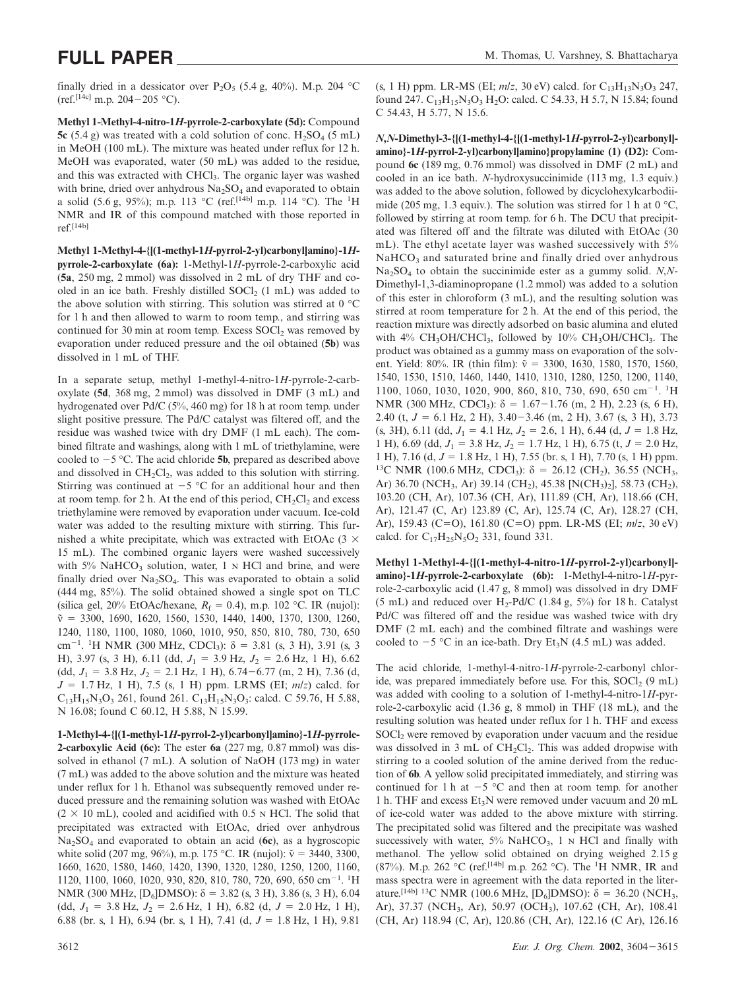finally dried in a dessicator over  $P_2O_5$  (5.4 g, 40%). M.p. 204 °C (ref.<sup>[14c]</sup> m.p. 204-205 °C).

**Methyl 1-Methyl-4-nitro-1***H***-pyrrole-2-carboxylate (5d):** Compound **5c** (5.4 g) was treated with a cold solution of conc.  $H_2SO_4$  (5 mL) in MeOH (100 mL). The mixture was heated under reflux for 12 h. MeOH was evaporated, water (50 mL) was added to the residue, and this was extracted with CHCl<sub>3</sub>. The organic layer was washed with brine, dried over anhydrous  $Na<sub>2</sub>SO<sub>4</sub>$  and evaporated to obtain a solid (5.6 g, 95%); m.p. 113 °C (ref.<sup>[14b]</sup> m.p. 114 °C). The <sup>1</sup>H NMR and IR of this compound matched with those reported in  $ref.[14b]$ 

**Methyl 1-Methyl-4-{[(1-methyl-1***H***-pyrrol-2-yl)carbonyl]amino}-1***H***pyrrole-2-carboxylate (6a):** 1-Methyl-1*H*-pyrrole-2-carboxylic acid (**5a**, 250 mg, 2 mmol) was dissolved in 2 mL of dry THF and cooled in an ice bath. Freshly distilled SOCl<sub>2</sub> (1 mL) was added to the above solution with stirring. This solution was stirred at 0 °C for 1 h and then allowed to warm to room temp., and stirring was continued for 30 min at room temp. Excess  $S OCl<sub>2</sub>$  was removed by evaporation under reduced pressure and the oil obtained (**5b**) was dissolved in 1 mL of THF.

In a separate setup, methyl 1-methyl-4-nitro-1*H*-pyrrole-2-carboxylate (**5d**, 368 mg, 2 mmol) was dissolved in DMF (3 mL) and hydrogenated over Pd/C (5%, 460 mg) for 18 h at room temp. under slight positive pressure. The Pd/C catalyst was filtered off, and the residue was washed twice with dry DMF (1 mL each). The combined filtrate and washings, along with 1 mL of triethylamine, were cooled to  $-5$  °C. The acid chloride **5b**, prepared as described above and dissolved in  $CH_2Cl_2$ , was added to this solution with stirring. Stirring was continued at  $-5$  °C for an additional hour and then at room temp. for 2 h. At the end of this period,  $CH_2Cl_2$  and excess triethylamine were removed by evaporation under vacuum. Ice-cold water was added to the resulting mixture with stirring. This furnished a white precipitate, which was extracted with EtOAc (3  $\times$ 15 mL). The combined organic layers were washed successively with  $5\%$  NaHCO<sub>3</sub> solution, water, 1  $\overline{N}$  HCl and brine, and were finally dried over  $Na<sub>2</sub>SO<sub>4</sub>$ . This was evaporated to obtain a solid (444 mg, 85%). The solid obtained showed a single spot on TLC (silica gel, 20% EtOAc/hexane,  $R_f = 0.4$ ), m.p. 102 °C. IR (nujol):  $\tilde{v}$  = 3300, 1690, 1620, 1560, 1530, 1440, 1400, 1370, 1300, 1260, 1240, 1180, 1100, 1080, 1060, 1010, 950, 850, 810, 780, 730, 650 cm<sup>-1</sup>. <sup>1</sup>H NMR (300 MHz, CDCl<sub>3</sub>):  $\delta$  = 3.81 (s, 3 H), 3.91 (s, 3 H), 3.97 (s, 3 H), 6.11 (dd,  $J_1 = 3.9$  Hz,  $J_2 = 2.6$  Hz, 1 H), 6.62 (dd,  $J_1 = 3.8$  Hz,  $J_2 = 2.1$  Hz, 1 H),  $6.74 - 6.77$  (m, 2 H), 7.36 (d,  $J = 1.7$  Hz, 1 H), 7.5 (s, 1 H) ppm. LRMS (EI;  $m/z$ ) calcd. for  $C_{13}H_{15}N_3O_3$  261, found 261.  $C_{13}H_{15}N_3O_3$ : calcd. C 59.76, H 5.88, N 16.08; found C 60.12, H 5.88, N 15.99.

**1-Methyl-4-{[(1-methyl-1***H***-pyrrol-2-yl)carbonyl]amino}-1***H***-pyrrole-2-carboxylic Acid (6c):** The ester **6a** (227 mg, 0.87 mmol) was dissolved in ethanol (7 mL). A solution of NaOH (173 mg) in water (7 mL) was added to the above solution and the mixture was heated under reflux for 1 h. Ethanol was subsequently removed under reduced pressure and the remaining solution was washed with EtOAc  $(2 \times 10 \text{ mL})$ , cooled and acidified with 0.5 N HCl. The solid that precipitated was extracted with EtOAc, dried over anhydrous  $Na<sub>2</sub>SO<sub>4</sub>$  and evaporated to obtain an acid (**6c**), as a hygroscopic white solid (207 mg, 96%), m.p. 175 °C. IR (nujol):  $\tilde{v} = 3440, 3300$ , 1660, 1620, 1580, 1460, 1420, 1390, 1320, 1280, 1250, 1200, 1160, 1120, 1100, 1060, 1020, 930, 820, 810, 780, 720, 690, 650 cm<sup>-1</sup>. <sup>1</sup>H NMR (300 MHz,  $[D_6]$ DMSO):  $\delta = 3.82$  (s, 3 H), 3.86 (s, 3 H), 6.04 (dd,  $J_1 = 3.8$  Hz,  $J_2 = 2.6$  Hz, 1 H), 6.82 (d,  $J = 2.0$  Hz, 1 H), 6.88 (br. s, 1 H), 6.94 (br. s, 1 H), 7.41 (d,  $J = 1.8$  Hz, 1 H), 9.81

(s, 1 H) ppm. LR-MS (EI;  $m/z$ , 30 eV) calcd. for  $C_{13}H_{13}N_3O_3$  247, found 247.  $C_{13}H_{15}N_3O_3H_2O$ : calcd. C 54.33, H 5.7, N 15.84; found C 54.43, H 5.77, N 15.6.

*N***,***N***-Dimethyl-3-{[(1-methyl-4-{[(1-methyl-1***H***-pyrrol-2-yl)carbonyl] amino}-1***H***-pyrrol-2-yl)carbonyl]amino}propylamine (1) (D2):** Compound **6c** (189 mg, 0.76 mmol) was dissolved in DMF (2 mL) and cooled in an ice bath. *N*-hydroxysuccinimide (113 mg, 1.3 equiv.) was added to the above solution, followed by dicyclohexylcarbodiimide (205 mg, 1.3 equiv.). The solution was stirred for 1 h at 0  $^{\circ}$ C, followed by stirring at room temp. for 6 h. The DCU that precipitated was filtered off and the filtrate was diluted with EtOAc (30 mL). The ethyl acetate layer was washed successively with 5% NaHCO<sub>3</sub> and saturated brine and finally dried over anhydrous Na2SO4 to obtain the succinimide ester as a gummy solid. *N*,*N*-Dimethyl-1,3-diaminopropane (1.2 mmol) was added to a solution of this ester in chloroform (3 mL), and the resulting solution was stirred at room temperature for 2 h. At the end of this period, the reaction mixture was directly adsorbed on basic alumina and eluted with  $4\%$  CH<sub>3</sub>OH/CHCl<sub>3</sub>, followed by  $10\%$  CH<sub>3</sub>OH/CHCl<sub>3</sub>. The product was obtained as a gummy mass on evaporation of the solvent. Yield: 80%. IR (thin film):  $\tilde{v} = 3300, 1630, 1580, 1570, 1560,$ 1540, 1530, 1510, 1460, 1440, 1410, 1310, 1280, 1250, 1200, 1140,  $1100, 1060, 1030, 1020, 900, 860, 810, 730, 690, 650$  cm<sup>-1</sup>. <sup>1</sup>H NMR (300 MHz, CDCl<sub>3</sub>):  $\delta = 1.67 - 1.76$  (m, 2 H), 2.23 (s, 6 H), 2.40 (t,  $J = 6.1$  Hz, 2 H), 3.40-3.46 (m, 2 H), 3.67 (s, 3 H), 3.73 (s, 3H), 6.11 (dd,  $J_1 = 4.1$  Hz,  $J_2 = 2.6$ , 1 H), 6.44 (d,  $J = 1.8$  Hz, 1 H), 6.69 (dd,  $J_1 = 3.8$  Hz,  $J_2 = 1.7$  Hz, 1 H), 6.75 (t,  $J = 2.0$  Hz, 1 H), 7.16 (d,  $J = 1.8$  Hz, 1 H), 7.55 (br. s, 1 H), 7.70 (s, 1 H) ppm. <sup>13</sup>C NMR (100.6 MHz, CDCl<sub>3</sub>): δ = 26.12 (CH<sub>2</sub>), 36.55 (NCH<sub>3</sub>, Ar) 36.70 (NCH<sub>3</sub>, Ar) 39.14 (CH<sub>2</sub>), 45.38 [N(CH<sub>3</sub>)<sub>2</sub>], 58.73 (CH<sub>2</sub>), 103.20 (CH, Ar), 107.36 (CH, Ar), 111.89 (CH, Ar), 118.66 (CH, Ar), 121.47 (C, Ar) 123.89 (C, Ar), 125.74 (C, Ar), 128.27 (CH, Ar), 159.43 (C=O), 161.80 (C=O) ppm. LR-MS (EI;  $m/z$ , 30 eV) calcd. for  $C_{17}H_{25}N_5O_2$  331, found 331.

**Methyl 1-Methyl-4-{[(1-methyl-4-nitro-1***H***-pyrrol-2-yl)carbonyl] amino}-1***H***-pyrrole-2-carboxylate (6b):** 1-Methyl-4-nitro-1*H*-pyrrole-2-carboxylic acid (1.47 g, 8 mmol) was dissolved in dry DMF (5 mL) and reduced over  $H_2$ -Pd/C (1.84 g, 5%) for 18 h. Catalyst Pd/C was filtered off and the residue was washed twice with dry DMF (2 mL each) and the combined filtrate and washings were cooled to  $-5$  °C in an ice-bath. Dry Et<sub>3</sub>N (4.5 mL) was added.

The acid chloride, 1-methyl-4-nitro-1*H*-pyrrole-2-carbonyl chloride, was prepared immediately before use. For this,  $S OCl<sub>2</sub> (9 mL)$ was added with cooling to a solution of 1-methyl-4-nitro-1*H*-pyrrole-2-carboxylic acid (1.36 g, 8 mmol) in THF (18 mL), and the resulting solution was heated under reflux for 1 h. THF and excess SOCl<sub>2</sub> were removed by evaporation under vacuum and the residue was dissolved in 3 mL of  $CH<sub>2</sub>Cl<sub>2</sub>$ . This was added dropwise with stirring to a cooled solution of the amine derived from the reduction of **6b**. A yellow solid precipitated immediately, and stirring was continued for 1 h at  $-5$  °C and then at room temp. for another 1 h. THF and excess Et<sub>3</sub>N were removed under vacuum and 20 mL of ice-cold water was added to the above mixture with stirring. The precipitated solid was filtered and the precipitate was washed successively with water,  $5\%$  NaHCO<sub>3</sub>, 1  $\overline{N}$  HCl and finally with methanol. The yellow solid obtained on drying weighed 2.15 g (87%). M.p. 262 °C (ref.[14b] m.p. 262 °C). The <sup>1</sup> H NMR, IR and mass spectra were in agreement with the data reported in the literature.<sup>[14b] 13</sup>C NMR (100.6 MHz,  $[D_6]$ DMSO):  $\delta = 36.20$  (NCH<sub>3</sub>, Ar), 37.37 (NCH<sub>3</sub>, Ar), 50.97 (OCH<sub>3</sub>), 107.62 (CH, Ar), 108.41 (CH, Ar) 118.94 (C, Ar), 120.86 (CH, Ar), 122.16 (C Ar), 126.16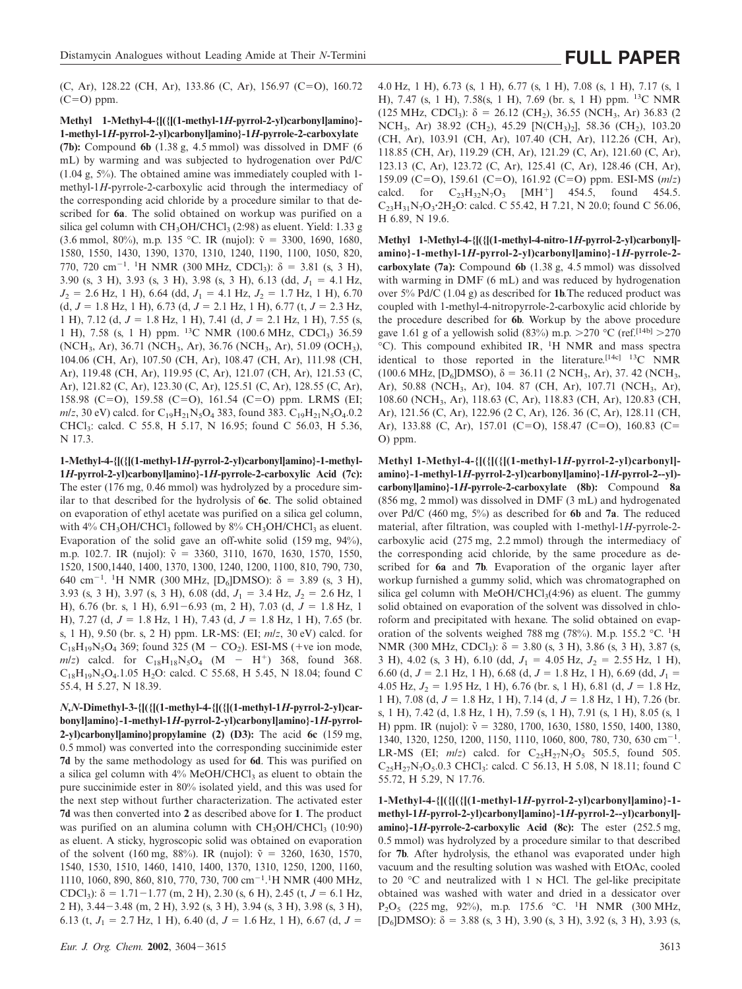$(C, Ar)$ , 128.22  $(CH, Ar)$ , 133.86  $(C, Ar)$ , 156.97  $(C=O)$ , 160.72  $(C=O)$  ppm.

**Methyl 1-Methyl-4-{[({[(1-methyl-1***H***-pyrrol-2-yl)carbonyl]amino}- 1-methyl-1***H***-pyrrol-2-yl)carbonyl]amino}-1***H***-pyrrole-2-carboxylate (7b):** Compound **6b** (1.38 g, 4.5 mmol) was dissolved in DMF (6 mL) by warming and was subjected to hydrogenation over Pd/C (1.04 g, 5%). The obtained amine was immediately coupled with 1 methyl-1*H*-pyrrole-2-carboxylic acid through the intermediacy of the corresponding acid chloride by a procedure similar to that described for **6a**. The solid obtained on workup was purified on a silica gel column with  $CH<sub>3</sub>OH/CHCl<sub>3</sub> (2:98)$  as eluent. Yield: 1.33 g (3.6 mmol, 80%), m.p. 135 °C. IR (nujol):  $\tilde{v} = 3300, 1690, 1680,$ 1580, 1550, 1430, 1390, 1370, 1310, 1240, 1190, 1100, 1050, 820, 770, 720 cm<sup>-1</sup>. <sup>1</sup>H NMR (300 MHz, CDCl<sub>3</sub>):  $\delta = 3.81$  (s, 3 H), 3.90 (s, 3 H), 3.93 (s, 3 H), 3.98 (s, 3 H), 6.13 (dd,  $J_1 = 4.1$  Hz,  $J_2 = 2.6$  Hz, 1 H), 6.64 (dd,  $J_1 = 4.1$  Hz,  $J_2 = 1.7$  Hz, 1 H), 6.70  $(d, J = 1.8 \text{ Hz}, 1 \text{ H}), 6.73 (d, J = 2.1 \text{ Hz}, 1 \text{ H}), 6.77 (t, J = 2.3 \text{ Hz},$ 1 H), 7.12 (d,  $J = 1.8$  Hz, 1 H), 7.41 (d,  $J = 2.1$  Hz, 1 H), 7.55 (s, 1 H), 7.58 (s, 1 H) ppm. <sup>13</sup>C NMR (100.6 MHz, CDCl<sub>3</sub>) 36.59 (NCH3, Ar), 36.71 (NCH3, Ar), 36.76 (NCH3, Ar), 51.09 (OCH3), 104.06 (CH, Ar), 107.50 (CH, Ar), 108.47 (CH, Ar), 111.98 (CH, Ar), 119.48 (CH, Ar), 119.95 (C, Ar), 121.07 (CH, Ar), 121.53 (C, Ar), 121.82 (C, Ar), 123.30 (C, Ar), 125.51 (C, Ar), 128.55 (C, Ar), 158.98 (C=O), 159.58 (C=O), 161.54 (C=O) ppm. LRMS (EI; *m/z*, 30 eV) calcd. for C<sub>19</sub>H<sub>21</sub>N<sub>5</sub>O<sub>4</sub> 383, found 383. C<sub>19</sub>H<sub>21</sub>N<sub>5</sub>O<sub>4</sub>.0.2 CHCl3: calcd. C 55.8, H 5.17, N 16.95; found C 56.03, H 5.36, N 17.3.

**1-Methyl-4-{[({[(1-methyl-1***H***-pyrrol-2-yl)carbonyl]amino}-1-methyl-1***H***-pyrrol-2-yl)carbonyl]amino}-1***H***-pyrrole-2-carboxylic Acid (7c):** The ester (176 mg, 0.46 mmol) was hydrolyzed by a procedure similar to that described for the hydrolysis of **6c**. The solid obtained on evaporation of ethyl acetate was purified on a silica gel column, with  $4\%$  CH<sub>3</sub>OH/CHCl<sub>3</sub> followed by  $8\%$  CH<sub>3</sub>OH/CHCl<sub>3</sub> as eluent. Evaporation of the solid gave an off-white solid (159 mg, 94%), m.p. 102.7. IR (nujol):  $\tilde{v} = 3360, 3110, 1670, 1630, 1570, 1550,$ 1520, 1500,1440, 1400, 1370, 1300, 1240, 1200, 1100, 810, 790, 730, 640 cm<sup>-1</sup>. <sup>1</sup>H NMR (300 MHz, [D<sub>6</sub>]DMSO):  $\delta = 3.89$  (s, 3 H), 3.93 (s, 3 H), 3.97 (s, 3 H), 6.08 (dd,  $J_1 = 3.4$  Hz,  $J_2 = 2.6$  Hz, 1 H),  $6.76$  (br. s, 1 H),  $6.91-6.93$  (m, 2 H),  $7.03$  (d,  $J = 1.8$  Hz, 1 H), 7.27 (d,  $J = 1.8$  Hz, 1 H), 7.43 (d,  $J = 1.8$  Hz, 1 H), 7.65 (br. s, 1 H), 9.50 (br. s, 2 H) ppm. LR-MS: (EI; *m*/*z*, 30 eV) calcd. for  $C_{18}H_{19}N_5O_4$  369; found 325 (M – CO<sub>2</sub>). ESI-MS (+ve ion mode,  $m/z$ ) calcd. for  $C_{18}H_{18}N_5O_4$  (M - H<sup>+</sup>) 368, found 368.  $C_{18}H_{19}N_5O_4.1.05 H_2O$ : calcd. C 55.68, H 5.45, N 18.04; found C 55.4, H 5.27, N 18.39.

*N***,***N***-Dimethyl-3-{[({[(1-methyl-4-{[({[(1-methyl-1***H***-pyrrol-2-yl)carbonyl]amino}-1-methyl-1***H***-pyrrol-2-yl)carbonyl]amino}-1***H***-pyrrol-2-yl)carbonyl]amino}propylamine (2) (D3):** The acid **6c** (159 mg, 0.5 mmol) was converted into the corresponding succinimide ester **7d** by the same methodology as used for **6d**. This was purified on a silica gel column with  $4\%$  MeOH/CHCl<sub>3</sub> as eluent to obtain the pure succinimide ester in 80% isolated yield, and this was used for the next step without further characterization. The activated ester **7d** was then converted into **2** as described above for **1**. The product was purified on an alumina column with  $CH<sub>3</sub>OH/CHCl<sub>3</sub>$  (10:90) as eluent. A sticky, hygroscopic solid was obtained on evaporation of the solvent (160 mg, 88%). IR (nujol):  $\tilde{v} = 3260, 1630, 1570,$ 1540, 1530, 1510, 1460, 1410, 1400, 1370, 1310, 1250, 1200, 1160, 1110, 1060, 890, 860, 810, 770, 730, 700 cm<sup>-1</sup>.<sup>1</sup>H NMR (400 MHz, CDCl<sub>3</sub>):  $\delta = 1.71 - 1.77$  (m, 2 H), 2.30 (s, 6 H), 2.45 (t,  $J = 6.1$  Hz, 2 H),  $3.44 - 3.48$  (m, 2 H),  $3.92$  (s, 3 H),  $3.94$  (s, 3 H),  $3.98$  (s, 3 H), 6.13 (t,  $J_1 = 2.7$  Hz, 1 H), 6.40 (d,  $J = 1.6$  Hz, 1 H), 6.67 (d,  $J =$ 

4.0 Hz, 1 H), 6.73 (s, 1 H), 6.77 (s, 1 H), 7.08 (s, 1 H), 7.17 (s, 1 H), 7.47 (s, 1 H), 7.58(s, 1 H), 7.69 (br. s, 1 H) ppm. 13C NMR (125 MHz, CDCl<sub>3</sub>):  $\delta = 26.12$  (CH<sub>2</sub>), 36.55 (NCH<sub>3</sub>, Ar) 36.83 (2) NCH<sub>3</sub>, Ar) 38.92 (CH<sub>2</sub>), 45.29 [N(CH<sub>3</sub>)<sub>2</sub>], 58.36 (CH<sub>2</sub>), 103.20 (CH, Ar), 103.91 (CH, Ar), 107.40 (CH, Ar), 112.26 (CH, Ar), 118.85 (CH, Ar), 119.29 (CH, Ar), 121.29 (C, Ar), 121.60 (C, Ar), 123.13 (C, Ar), 123.72 (C, Ar), 125.41 (C, Ar), 128.46 (CH, Ar), 159.09 (C=O), 159.61 (C=O), 161.92 (C=O) ppm. ESI-MS (*m*/*z*) calcd. for  $C_{23}H_{32}N_7O_3$  [MH<sup>+</sup>] 454.5, found 454.5. C23H31N7O3**·**2H2O: calcd. C 55.42, H 7.21, N 20.0; found C 56.06, H 6.89, N 19.6.

**Methyl 1-Methyl-4-{[({[(1-methyl-4-nitro-1***H***-pyrrol-2-yl)carbonyl] amino}-1-methyl-1***H***-pyrrol-2-yl)carbonyl]amino}-1***H***-pyrrole-2 carboxylate (7a):** Compound **6b** (1.38 g, 4.5 mmol) was dissolved with warming in DMF (6 mL) and was reduced by hydrogenation over 5% Pd/C (1.04 g) as described for **1b**.The reduced product was coupled with 1-methyl-4-nitropyrrole-2-carboxylic acid chloride by the procedure described for **6b**. Workup by the above procedure gave 1.61 g of a yellowish solid (83%) m.p.  $>270$  °C (ref.<sup>[14b]</sup>  $>270$ °C). This compound exhibited IR, <sup>1</sup>H NMR and mass spectra identical to those reported in the literature.<sup>[14c] 13</sup>C NMR  $(100.6 \text{ MHz}, [D_6]$ DMSO),  $\delta = 36.11$  (2 NCH<sub>3</sub>, Ar), 37. 42 (NCH<sub>3</sub>, Ar), 50.88 (NCH<sub>3</sub>, Ar), 104. 87 (CH, Ar), 107.71 (NCH<sub>3</sub>, Ar), 108.60 (NCH3, Ar), 118.63 (C, Ar), 118.83 (CH, Ar), 120.83 (CH, Ar), 121.56 (C, Ar), 122.96 (2 C, Ar), 126. 36 (C, Ar), 128.11 (CH, Ar), 133.88 (C, Ar), 157.01 (C=O), 158.47 (C=O), 160.83 (C= O) ppm.

**Methyl 1-Methyl-4-{[({[({[(1-methyl-1***H***-pyrrol-2-yl)carbonyl] amino}-1-methyl-1***H***-pyrrol-2-yl)carbonyl]amino}-1***H***-pyrrol-2--yl) carbonyl]amino}-1***H***-pyrrole-2-carboxylate (8b):** Compound **8a** (856 mg, 2 mmol) was dissolved in DMF (3 mL) and hydrogenated over Pd/C (460 mg, 5%) as described for **6b** and **7a**. The reduced material, after filtration, was coupled with 1-methyl-1*H*-pyrrole-2 carboxylic acid (275 mg, 2.2 mmol) through the intermediacy of the corresponding acid chloride, by the same procedure as described for **6a** and **7b**. Evaporation of the organic layer after workup furnished a gummy solid, which was chromatographed on silica gel column with MeOH/CHCl $_3(4:96)$  as eluent. The gummy solid obtained on evaporation of the solvent was dissolved in chloroform and precipitated with hexane. The solid obtained on evaporation of the solvents weighed 788 mg (78%). M.p. 155.2 °C. <sup>1</sup>H NMR (300 MHz, CDCl<sub>3</sub>):  $\delta = 3.80$  (s, 3 H), 3.86 (s, 3 H), 3.87 (s, 3 H), 4.02 (s, 3 H), 6.10 (dd,  $J_1 = 4.05$  Hz,  $J_2 = 2.55$  Hz, 1 H), 6.60 (d,  $J = 2.1$  Hz, 1 H), 6.68 (d,  $J = 1.8$  Hz, 1 H), 6.69 (dd,  $J_1 =$ 4.05 Hz,  $J_2 = 1.95$  Hz, 1 H), 6.76 (br. s, 1 H), 6.81 (d,  $J = 1.8$  Hz, 1 H), 7.08 (d,  $J = 1.8$  Hz, 1 H), 7.14 (d,  $J = 1.8$  Hz, 1 H), 7.26 (br. s, 1 H), 7.42 (d, 1.8 Hz, 1 H), 7.59 (s, 1 H), 7.91 (s, 1 H), 8.05 (s, 1 H) ppm. IR (nujol):  $\tilde{v} = 3280, 1700, 1630, 1580, 1550, 1400, 1380,$ 1340, 1320, 1250, 1200, 1150, 1110, 1060, 800, 780, 730, 630 cm<sup>-1</sup>. LR-MS (EI;  $m/z$ ) calcd. for  $C_{25}H_{27}N_7O_5$  505.5, found 505.  $C_{25}H_{27}N_7O_5.0.3$  CHCl<sub>3</sub>: calcd. C 56.13, H 5.08, N 18.11; found C 55.72, H 5.29, N 17.76.

**1-Methyl-4-{[({[({[(1-methyl-1***H***-pyrrol-2-yl)carbonyl]amino}-1 methyl-1***H***-pyrrol-2-yl)carbonyl]amino}-1***H***-pyrrol-2--yl)carbonyl] amino}-1***H***-pyrrole-2-carboxylic Acid (8c):** The ester (252.5 mg, 0.5 mmol) was hydrolyzed by a procedure similar to that described for **7b**. After hydrolysis, the ethanol was evaporated under high vacuum and the resulting solution was washed with EtOAc, cooled to 20  $\degree$ C and neutralized with 1  $\degree$  HCl. The gel-like precipitate obtained was washed with water and dried in a dessicator over  $P_2O_5$  (225 mg, 92%), m.p. 175.6 °C. <sup>1</sup>H NMR (300 MHz,  $[D_6]$ DMSO):  $\delta = 3.88$  (s, 3 H), 3.90 (s, 3 H), 3.92 (s, 3 H), 3.93 (s,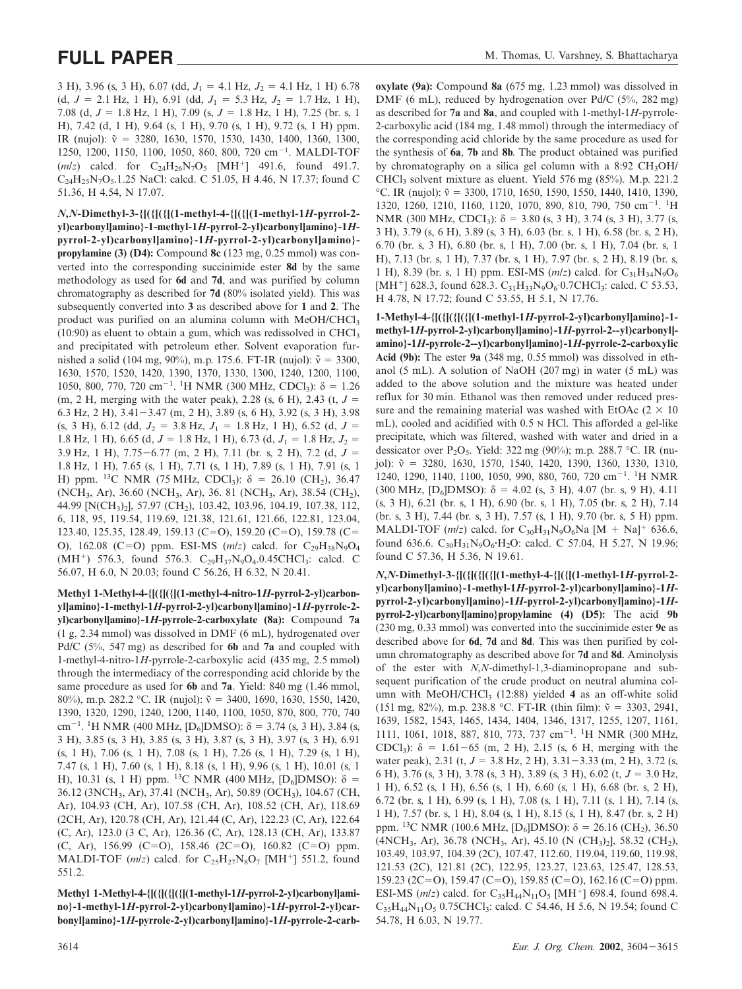3 H), 3.96 (s, 3 H), 6.07 (dd,  $J_1 = 4.1$  Hz,  $J_2 = 4.1$  Hz, 1 H) 6.78 (d,  $J = 2.1$  Hz, 1 H), 6.91 (dd,  $J_1 = 5.3$  Hz,  $J_2 = 1.7$  Hz, 1 H), 7.08 (d,  $J = 1.8$  Hz, 1 H), 7.09 (s,  $J = 1.8$  Hz, 1 H), 7.25 (br. s, 1 H), 7.42 (d, 1 H), 9.64 (s, 1 H), 9.70 (s, 1 H), 9.72 (s, 1 H) ppm. IR (nujol):  $\tilde{v}$  = 3280, 1630, 1570, 1530, 1430, 1400, 1360, 1300, 1250, 1200, 1150, 1100, 1050, 860, 800, 720 cm<sup>-1</sup>. MALDI-TOF  $(m/z)$  calcd. for  $C_{24}H_{26}N_7O_5$  [MH<sup>+</sup>] 491.6, found 491.7. C24H25N7O5.1.25 NaCl: calcd. C 51.05, H 4.46, N 17.37; found C 51.36, H 4.54, N 17.07.

*N***,***N***-Dimethyl-3-{[({[({[(1-methyl-4-{[({[(1-methyl-1***H***-pyrrol-2 yl)carbonyl]amino}-1-methyl-1***H***-pyrrol-2-yl)carbonyl]amino}-1***H***pyrrol-2-yl)carbonyl]amino}-1***H***-pyrrol-2-yl)carbonyl]amino} propylamine (3) (D4):** Compound **8c** (123 mg, 0.25 mmol) was converted into the corresponding succinimide ester **8d** by the same methodology as used for **6d** and **7d**, and was purified by column chromatography as described for **7d** (80% isolated yield). This was subsequently converted into **3** as described above for **1** and **2**. The product was purified on an alumina column with MeOH/CHCl3  $(10:90)$  as eluent to obtain a gum, which was redissolved in CHCl<sub>3</sub> and precipitated with petroleum ether. Solvent evaporation furnished a solid (104 mg, 90%), m.p. 175.6. FT-IR (nujol):  $\tilde{v} = 3300$ , 1630, 1570, 1520, 1420, 1390, 1370, 1330, 1300, 1240, 1200, 1100,  $1050$ , 800, 770, 720 cm<sup>-1</sup>. <sup>1</sup>H NMR (300 MHz, CDCl<sub>3</sub>): δ = 1.26 (m, 2 H, merging with the water peak), 2.28 (s, 6 H), 2.43 (t, *J* 6.3 Hz, 2 H),  $3.41 - 3.47$  (m, 2 H),  $3.89$  (s, 6 H),  $3.92$  (s, 3 H),  $3.98$  $(s, 3 H)$ , 6.12 (dd,  $J_2 = 3.8 Hz$ ,  $J_1 = 1.8 Hz$ , 1 H), 6.52 (d,  $J =$ 1.8 Hz, 1 H), 6.65 (d,  $J = 1.8$  Hz, 1 H), 6.73 (d,  $J_1 = 1.8$  Hz,  $J_2 =$ 3.9 Hz, 1 H),  $7.75-6.77$  (m, 2 H),  $7.11$  (br. s, 2 H),  $7.2$  (d,  $J =$ 1.8 Hz, 1 H), 7.65 (s, 1 H), 7.71 (s, 1 H), 7.89 (s, 1 H), 7.91 (s, 1 H) ppm. <sup>13</sup>C NMR (75 MHz, CDCl<sub>3</sub>): δ = 26.10 (CH<sub>2</sub>), 36.47  $(NCH_3, Ar)$ , 36.60 (NCH<sub>3</sub>, Ar), 36. 81 (NCH<sub>3</sub>, Ar), 38.54 (CH<sub>2</sub>), 44.99 [N(CH<sub>3</sub>)<sub>2</sub>], 57.97 (CH<sub>2</sub>), 103.42, 103.96, 104.19, 107.38, 112, 6, 118, 95, 119.54, 119.69, 121.38, 121.61, 121.66, 122.81, 123.04, 123.40, 125.35, 128.49, 159.13 (C=O), 159.20 (C=O), 159.78 (C= O), 162.08 (C=O) ppm. ESI-MS  $(m/z)$  calcd. for C<sub>29</sub>H<sub>38</sub>N<sub>9</sub>O<sub>4</sub>  $(MH<sup>+</sup>)$  576.3, found 576.3. C<sub>29</sub>H<sub>37</sub>N<sub>9</sub>O<sub>4</sub>.0.45CHCl<sub>3</sub>: calcd. C 56.07, H 6.0, N 20.03; found C 56.26, H 6.32, N 20.41.

**Methyl 1-Methyl-4-{[({[({[(1-methyl-4-nitro-1***H***-pyrrol-2-yl)carbonyl]amino}-1-methyl-1***H***-pyrrol-2-yl)carbonyl]amino}-1***H***-pyrrole-2 yl)carbonyl]amino}-1***H***-pyrrole-2-carboxylate (8a):** Compound **7a** (1 g, 2.34 mmol) was dissolved in DMF (6 mL), hydrogenated over Pd/C (5%, 547 mg) as described for **6b** and **7a** and coupled with 1-methyl-4-nitro-1*H*-pyrrole-2-carboxylic acid (435 mg, 2.5 mmol) through the intermediacy of the corresponding acid chloride by the same procedure as used for **6b** and **7a**. Yield: 840 mg (1.46 mmol, 80%), m.p. 282.2 °C. IR (nujol):  $\tilde{v} = 3400, 1690, 1630, 1550, 1420$ , 1390, 1320, 1290, 1240, 1200, 1140, 1100, 1050, 870, 800, 770, 740 cm<sup>-1</sup>. <sup>1</sup>H NMR (400 MHz, [D<sub>6</sub>]DMSO):  $\delta$  = 3.74 (s, 3 H), 3.84 (s, 3 H), 3.85 (s, 3 H), 3.85 (s, 3 H), 3.87 (s, 3 H), 3.97 (s, 3 H), 6.91 (s, 1 H), 7.06 (s, 1 H), 7.08 (s, 1 H), 7.26 (s, 1 H), 7.29 (s, 1 H), 7.47 (s, 1 H), 7.60 (s, 1 H), 8.18 (s, 1 H), 9.96 (s, 1 H), 10.01 (s, 1 H), 10.31 (s, 1 H) ppm. <sup>13</sup>C NMR (400 MHz, [D<sub>6</sub>]DMSO): δ = 36.12 (3NCH3, Ar), 37.41 (NCH3, Ar), 50.89 (OCH3), 104.67 (CH, Ar), 104.93 (CH, Ar), 107.58 (CH, Ar), 108.52 (CH, Ar), 118.69 (2CH, Ar), 120.78 (CH, Ar), 121.44 (C, Ar), 122.23 (C, Ar), 122.64 (C, Ar), 123.0 (3 C, Ar), 126.36 (C, Ar), 128.13 (CH, Ar), 133.87  $(C, Ar)$ , 156.99  $(C=0)$ , 158.46  $(2C=0)$ , 160.82  $(C=0)$  ppm. MALDI-TOF  $(m/z)$  calcd. for  $C_{25}H_{27}N_8O_7$  [MH<sup>+</sup>] 551.2, found 551.2.

**Methyl 1-Methyl-4-{[({[({[({[(1-methyl-1***H***-pyrrol-2-yl)carbonyl]amino}-1-methyl-1***H***-pyrrol-2-yl)carbonyl]amino}-1***H***-pyrrol-2-yl)carbonyl]amino}-1***H***-pyrrole-2-yl)carbonyl]amino}-1***H***-pyrrole-2-carb-** **oxylate (9a):** Compound **8a** (675 mg, 1.23 mmol) was dissolved in DMF (6 mL), reduced by hydrogenation over Pd/C (5%, 282 mg) as described for **7a** and **8a**, and coupled with 1-methyl-1*H*-pyrrole-2-carboxylic acid (184 mg, 1.48 mmol) through the intermediacy of the corresponding acid chloride by the same procedure as used for the synthesis of **6a**, **7b** and **8b**. The product obtained was purified by chromatography on a silica gel column with a  $8:92 \text{ CH}_3OH/$ CHCl<sub>3</sub> solvent mixture as eluent. Yield  $576$  mg  $(85%)$ . M.p. 221.2 °C. IR (nujol):  $\tilde{v} = 3300, 1710, 1650, 1590, 1550, 1440, 1410, 1390,$ 1320, 1260, 1210, 1160, 1120, 1070, 890, 810, 790, 750 cm<sup>-1</sup>. <sup>1</sup>H NMR (300 MHz, CDCI<sub>3</sub>):  $\delta = 3.80$  (s, 3 H), 3.74 (s, 3 H), 3.77 (s, 3 H), 3.79 (s, 6 H), 3.89 (s, 3 H), 6.03 (br. s, 1 H), 6.58 (br. s, 2 H), 6.70 (br. s, 3 H), 6.80 (br. s, 1 H), 7.00 (br. s, 1 H), 7.04 (br. s, 1 H), 7.13 (br. s, 1 H), 7.37 (br. s, 1 H), 7.97 (br. s, 2 H), 8.19 (br. s, 1 H), 8.39 (br. s, 1 H) ppm. ESI-MS ( $m/z$ ) calcd. for C<sub>31</sub>H<sub>34</sub>N<sub>9</sub>O<sub>6</sub> [MH<sup>+</sup>] 628.3, found 628.3. C<sub>31</sub>H<sub>33</sub>N<sub>9</sub>O<sub>6</sub>.0.7CHCl<sub>3</sub>: calcd. C 53.53, H 4.78, N 17.72; found C 53.55, H 5.1, N 17.76.

**1-Methyl-4-{[({[({[({[(1-methyl-1***H***-pyrrol-2-yl)carbonyl]amino}-1 methyl-1***H***-pyrrol-2-yl)carbonyl]amino}-1***H***-pyrrol-2--yl)carbonyl] amino}-1***H***-pyrrole-2--yl)carbonyl]amino}-1***H***-pyrrole-2-carboxylic Acid (9b):** The ester **9a** (348 mg, 0.55 mmol) was dissolved in ethanol (5 mL). A solution of NaOH (207 mg) in water (5 mL) was added to the above solution and the mixture was heated under reflux for 30 min. Ethanol was then removed under reduced pressure and the remaining material was washed with EtOAc  $(2 \times 10)$ mL), cooled and acidified with 0.5 N HCl. This afforded a gel-like precipitate, which was filtered, washed with water and dried in a dessicator over  $P_2O_5$ . Yield: 322 mg (90%); m.p. 288.7 °C. IR (nujol):  $\tilde{v}$  = 3280, 1630, 1570, 1540, 1420, 1390, 1360, 1330, 1310, 1240, 1290, 1140, 1100, 1050, 990, 880, 760, 720 cm<sup>-1</sup>. <sup>1</sup>H NMR (300 MHz,  $[D_6]$ DMSO):  $\delta = 4.02$  (s, 3 H), 4.07 (br. s, 9 H), 4.11 (s, 3 H), 6.21 (br. s, 1 H), 6.90 (br. s, 1 H), 7.05 (br. s, 2 H), 7.14 (br. s, 3 H), 7.44 (br. s, 3 H), 7.57 (s, 1 H), 9.70 (br. s, 5 H) ppm. MALDI-TOF (*m*/*z*) calcd. for C<sub>30</sub>H<sub>31</sub>N<sub>9</sub>O<sub>6</sub>Na [M + Na]<sup>+</sup> 636.6, found 636.6. C30H31N9O6**·**H2O: calcd. C 57.04, H 5.27, N 19.96; found C 57.36, H 5.36, N 19.61.

*N***,***N***-Dimethyl-3-{[({[({[({[(1-methyl-4-{[({[(1-methyl-1***H***-pyrrol-2 yl)carbonyl]amino}-1-methyl-1***H***-pyrrol-2-yl)carbonyl]amino}-1***H***pyrrol-2-yl)carbonyl]amino}-1***H***-pyrrol-2-yl)carbonyl]amino}-1***H***pyrrol-2-yl)carbonyl]amino}propylamine (4) (D5):** The acid **9b** (230 mg, 0.33 mmol) was converted into the succinimide ester **9c** as described above for **6d**, **7d** and **8d**. This was then purified by column chromatography as described above for **7d** and **8d**. Aminolysis of the ester with *N*,*N*-dimethyl-1,3-diaminopropane and subsequent purification of the crude product on neutral alumina column with MeOH/CHCl<sub>3</sub> (12:88) yielded 4 as an off-white solid (151 mg, 82%), m.p. 238.8 °C. FT-IR (thin film):  $\tilde{v} = 3303, 2941,$ 1639, 1582, 1543, 1465, 1434, 1404, 1346, 1317, 1255, 1207, 1161, 1111, 1061, 1018, 887, 810, 773, 737 cm<sup>-1</sup>. <sup>1</sup>H NMR (300 MHz, CDCl<sub>3</sub>):  $\delta = 1.61-65$  (m, 2 H), 2.15 (s, 6 H, merging with the water peak), 2.31 (t,  $J = 3.8$  Hz, 2 H), 3.31-3.33 (m, 2 H), 3.72 (s, 6 H), 3.76 (s, 3 H), 3.78 (s, 3 H), 3.89 (s, 3 H), 6.02 (t,  $J = 3.0$  Hz, 1 H), 6.52 (s, 1 H), 6.56 (s, 1 H), 6.60 (s, 1 H), 6.68 (br. s, 2 H), 6.72 (br. s, 1 H), 6.99 (s, 1 H), 7.08 (s, 1 H), 7.11 (s, 1 H), 7.14 (s, 1 H), 7.57 (br. s, 1 H), 8.04 (s, 1 H), 8.15 (s, 1 H), 8.47 (br. s, 2 H) ppm. <sup>13</sup>C NMR (100.6 MHz, [D<sub>6</sub>]DMSO): δ = 26.16 (CH<sub>2</sub>), 36.50  $(4NCH_3, Ar)$ , 36.78 (NCH<sub>3</sub>, Ar), 45.10 (N (CH<sub>3</sub>)<sub>2</sub>], 58.32 (CH<sub>2</sub>), 103.49, 103.97, 104.39 (2C), 107.47, 112.60, 119.04, 119.60, 119.98, 121.53 (2C), 121.81 (2C), 122.95, 123.27, 123.63, 125.47, 128.53,  $159.23$  (2C=O), 159.47 (C=O), 159.85 (C=O), 162.16 (C=O) ppm. ESI-MS ( $m/z$ ) calcd. for  $C_{35}H_{44}N_{11}O_5$  [MH<sup>+</sup>] 698.4, found 698.4.  $C_{35}H_{44}N_{11}O_5$  0.75CHCl<sub>3</sub>: calcd. C 54.46, H 5.6, N 19.54; found C 54.78, H 6.03, N 19.77.